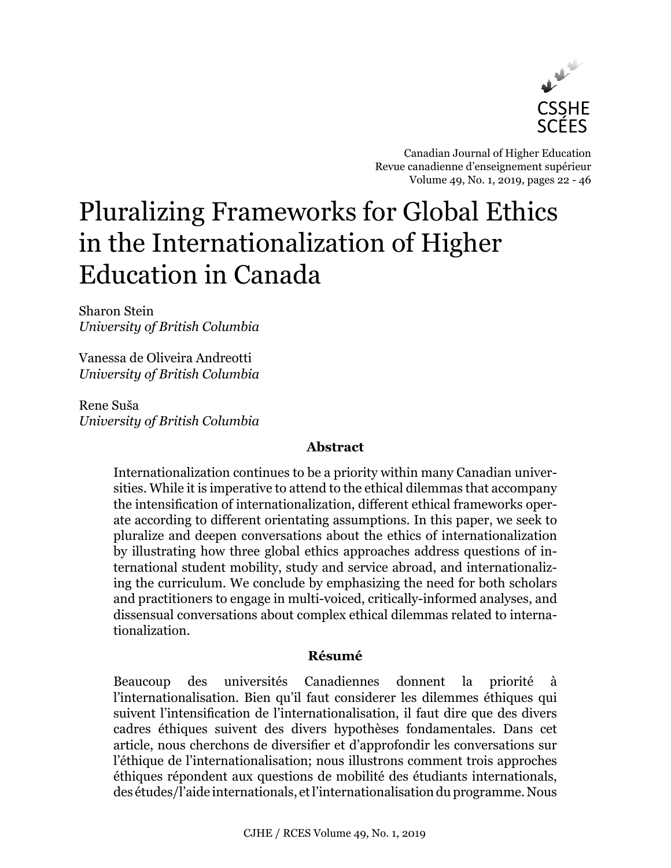

Canadian Journal of Higher Education Revue canadienne d'enseignement supérieur Volume 49, No. 1, 2019, pages 22 - 46

# Pluralizing Frameworks for Global Ethics in the Internationalization of Higher Education in Canada

Sharon Stein *University of British Columbia*

Vanessa de Oliveira Andreotti *University of British Columbia*

Rene Suša *University of British Columbia*

# **Abstract**

Internationalization continues to be a priority within many Canadian universities. While it is imperative to attend to the ethical dilemmas that accompany the intensification of internationalization, different ethical frameworks operate according to different orientating assumptions. In this paper, we seek to pluralize and deepen conversations about the ethics of internationalization by illustrating how three global ethics approaches address questions of international student mobility, study and service abroad, and internationalizing the curriculum. We conclude by emphasizing the need for both scholars and practitioners to engage in multi-voiced, critically-informed analyses, and dissensual conversations about complex ethical dilemmas related to internationalization.

# **Résumé**

Beaucoup des universités Canadiennes donnent la priorité à l'internationalisation. Bien qu'il faut considerer les dilemmes éthiques qui suivent l'intensification de l'internationalisation, il faut dire que des divers cadres éthiques suivent des divers hypothèses fondamentales. Dans cet article, nous cherchons de diversifier et d'approfondir les conversations sur l'éthique de l'internationalisation; nous illustrons comment trois approches éthiques répondent aux questions de mobilité des étudiants internationals, des études/l'aide internationals, et l'internationalisation du programme. Nous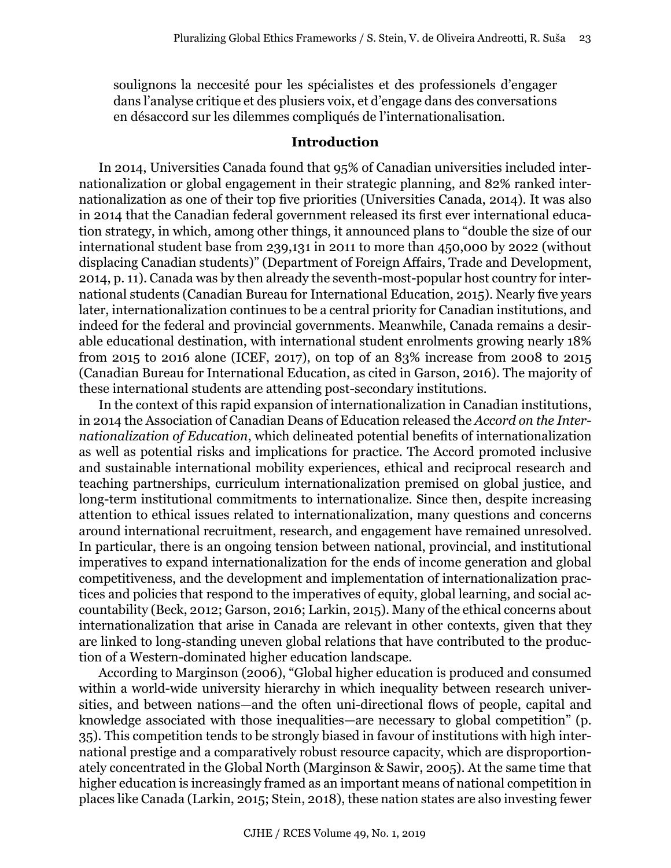soulignons la neccesité pour les spécialistes et des professionels d'engager dans l'analyse critique et des plusiers voix, et d'engage dans des conversations en désaccord sur les dilemmes compliqués de l'internationalisation.

#### **Introduction**

In 2014, Universities Canada found that 95% of Canadian universities included internationalization or global engagement in their strategic planning, and 82% ranked internationalization as one of their top five priorities (Universities Canada, 2014). It was also in 2014 that the Canadian federal government released its first ever international education strategy, in which, among other things, it announced plans to "double the size of our international student base from 239,131 in 2011 to more than 450,000 by 2022 (without displacing Canadian students)" (Department of Foreign Affairs, Trade and Development, 2014, p. 11). Canada was by then already the seventh-most-popular host country for international students (Canadian Bureau for International Education, 2015). Nearly five years later, internationalization continues to be a central priority for Canadian institutions, and indeed for the federal and provincial governments. Meanwhile, Canada remains a desirable educational destination, with international student enrolments growing nearly 18% from 2015 to 2016 alone (ICEF, 2017), on top of an 83% increase from 2008 to 2015 (Canadian Bureau for International Education, as cited in Garson, 2016). The majority of these international students are attending post-secondary institutions.

In the context of this rapid expansion of internationalization in Canadian institutions, in 2014 the Association of Canadian Deans of Education released the *Accord on the Internationalization of Education*, which delineated potential benefits of internationalization as well as potential risks and implications for practice. The Accord promoted inclusive and sustainable international mobility experiences, ethical and reciprocal research and teaching partnerships, curriculum internationalization premised on global justice, and long-term institutional commitments to internationalize. Since then, despite increasing attention to ethical issues related to internationalization, many questions and concerns around international recruitment, research, and engagement have remained unresolved. In particular, there is an ongoing tension between national, provincial, and institutional imperatives to expand internationalization for the ends of income generation and global competitiveness, and the development and implementation of internationalization practices and policies that respond to the imperatives of equity, global learning, and social accountability (Beck, 2012; Garson, 2016; Larkin, 2015). Many of the ethical concerns about internationalization that arise in Canada are relevant in other contexts, given that they are linked to long-standing uneven global relations that have contributed to the production of a Western-dominated higher education landscape.

According to Marginson (2006), "Global higher education is produced and consumed within a world-wide university hierarchy in which inequality between research universities, and between nations—and the often uni-directional flows of people, capital and knowledge associated with those inequalities—are necessary to global competition" (p. 35). This competition tends to be strongly biased in favour of institutions with high international prestige and a comparatively robust resource capacity, which are disproportionately concentrated in the Global North (Marginson & Sawir, 2005). At the same time that higher education is increasingly framed as an important means of national competition in places like Canada (Larkin, 2015; Stein, 2018), these nation states are also investing fewer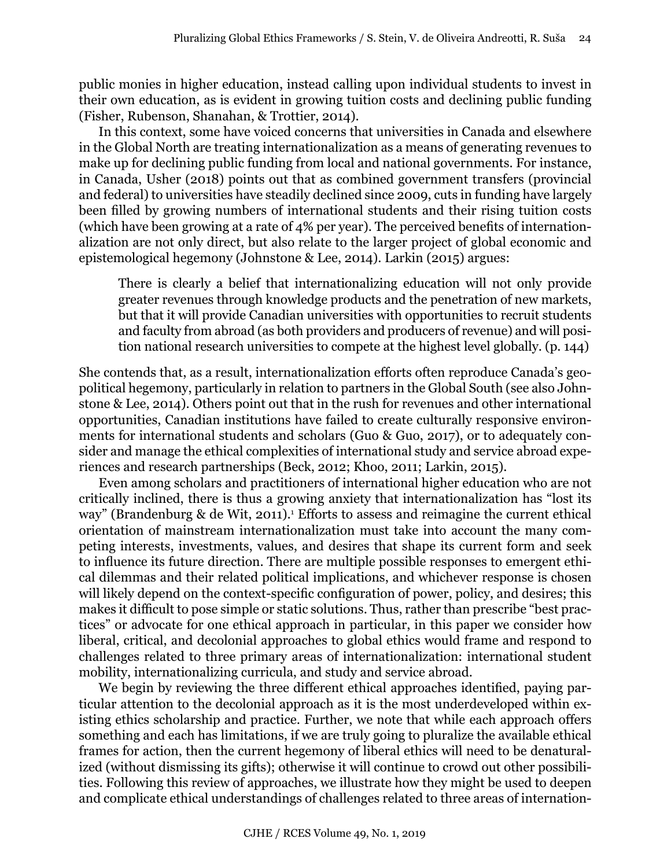public monies in higher education, instead calling upon individual students to invest in their own education, as is evident in growing tuition costs and declining public funding (Fisher, Rubenson, Shanahan, & Trottier, 2014).

In this context, some have voiced concerns that universities in Canada and elsewhere in the Global North are treating internationalization as a means of generating revenues to make up for declining public funding from local and national governments. For instance, in Canada, Usher (2018) points out that as combined government transfers (provincial and federal) to universities have steadily declined since 2009, cuts in funding have largely been filled by growing numbers of international students and their rising tuition costs (which have been growing at a rate of 4% per year). The perceived benefits of internationalization are not only direct, but also relate to the larger project of global economic and epistemological hegemony (Johnstone & Lee, 2014). Larkin (2015) argues:

There is clearly a belief that internationalizing education will not only provide greater revenues through knowledge products and the penetration of new markets, but that it will provide Canadian universities with opportunities to recruit students and faculty from abroad (as both providers and producers of revenue) and will position national research universities to compete at the highest level globally. (p. 144)

She contends that, as a result, internationalization efforts often reproduce Canada's geopolitical hegemony, particularly in relation to partners in the Global South (see also Johnstone & Lee, 2014). Others point out that in the rush for revenues and other international opportunities, Canadian institutions have failed to create culturally responsive environments for international students and scholars (Guo & Guo, 2017), or to adequately consider and manage the ethical complexities of international study and service abroad experiences and research partnerships (Beck, 2012; Khoo, 2011; Larkin, 2015).

Even among scholars and practitioners of international higher education who are not critically inclined, there is thus a growing anxiety that internationalization has "lost its way" (Brandenburg & de Wit, 2011).<sup>1</sup> Efforts to assess and reimagine the current ethical orientation of mainstream internationalization must take into account the many competing interests, investments, values, and desires that shape its current form and seek to influence its future direction. There are multiple possible responses to emergent ethical dilemmas and their related political implications, and whichever response is chosen will likely depend on the context-specific configuration of power, policy, and desires; this makes it difficult to pose simple or static solutions. Thus, rather than prescribe "best practices" or advocate for one ethical approach in particular, in this paper we consider how liberal, critical, and decolonial approaches to global ethics would frame and respond to challenges related to three primary areas of internationalization: international student mobility, internationalizing curricula, and study and service abroad.

We begin by reviewing the three different ethical approaches identified, paying particular attention to the decolonial approach as it is the most underdeveloped within existing ethics scholarship and practice. Further, we note that while each approach offers something and each has limitations, if we are truly going to pluralize the available ethical frames for action, then the current hegemony of liberal ethics will need to be denaturalized (without dismissing its gifts); otherwise it will continue to crowd out other possibilities. Following this review of approaches, we illustrate how they might be used to deepen and complicate ethical understandings of challenges related to three areas of internation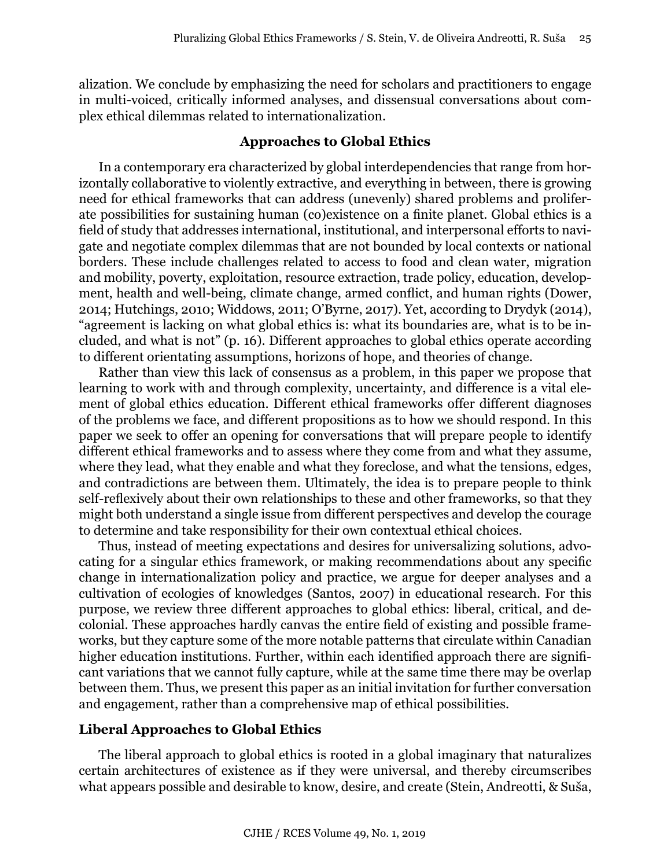alization. We conclude by emphasizing the need for scholars and practitioners to engage in multi-voiced, critically informed analyses, and dissensual conversations about complex ethical dilemmas related to internationalization.

#### **Approaches to Global Ethics**

In a contemporary era characterized by global interdependencies that range from horizontally collaborative to violently extractive, and everything in between, there is growing need for ethical frameworks that can address (unevenly) shared problems and proliferate possibilities for sustaining human (co)existence on a finite planet. Global ethics is a field of study that addresses international, institutional, and interpersonal efforts to navigate and negotiate complex dilemmas that are not bounded by local contexts or national borders. These include challenges related to access to food and clean water, migration and mobility, poverty, exploitation, resource extraction, trade policy, education, development, health and well-being, climate change, armed conflict, and human rights (Dower, 2014; Hutchings, 2010; Widdows, 2011; O'Byrne, 2017). Yet, according to Drydyk (2014), "agreement is lacking on what global ethics is: what its boundaries are, what is to be included, and what is not" (p. 16). Different approaches to global ethics operate according to different orientating assumptions, horizons of hope, and theories of change.

Rather than view this lack of consensus as a problem, in this paper we propose that learning to work with and through complexity, uncertainty, and difference is a vital element of global ethics education. Different ethical frameworks offer different diagnoses of the problems we face, and different propositions as to how we should respond. In this paper we seek to offer an opening for conversations that will prepare people to identify different ethical frameworks and to assess where they come from and what they assume, where they lead, what they enable and what they foreclose, and what the tensions, edges, and contradictions are between them. Ultimately, the idea is to prepare people to think self-reflexively about their own relationships to these and other frameworks, so that they might both understand a single issue from different perspectives and develop the courage to determine and take responsibility for their own contextual ethical choices.

Thus, instead of meeting expectations and desires for universalizing solutions, advocating for a singular ethics framework, or making recommendations about any specific change in internationalization policy and practice, we argue for deeper analyses and a cultivation of ecologies of knowledges (Santos, 2007) in educational research. For this purpose, we review three different approaches to global ethics: liberal, critical, and decolonial. These approaches hardly canvas the entire field of existing and possible frameworks, but they capture some of the more notable patterns that circulate within Canadian higher education institutions. Further, within each identified approach there are significant variations that we cannot fully capture, while at the same time there may be overlap between them. Thus, we present this paper as an initial invitation for further conversation and engagement, rather than a comprehensive map of ethical possibilities.

# **Liberal Approaches to Global Ethics**

The liberal approach to global ethics is rooted in a global imaginary that naturalizes certain architectures of existence as if they were universal, and thereby circumscribes what appears possible and desirable to know, desire, and create (Stein, Andreotti, & Suša,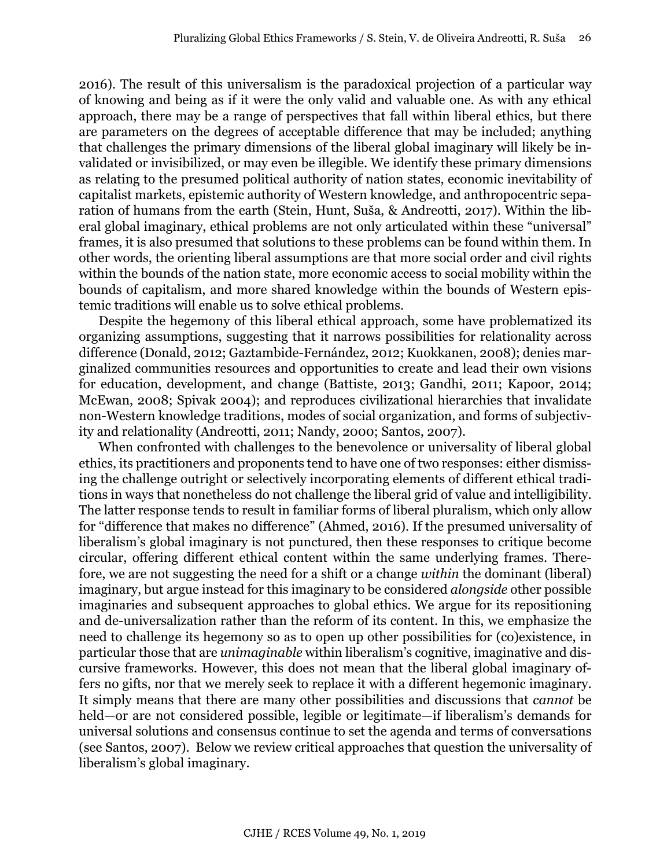2016). The result of this universalism is the paradoxical projection of a particular way of knowing and being as if it were the only valid and valuable one. As with any ethical approach, there may be a range of perspectives that fall within liberal ethics, but there are parameters on the degrees of acceptable difference that may be included; anything that challenges the primary dimensions of the liberal global imaginary will likely be invalidated or invisibilized, or may even be illegible. We identify these primary dimensions as relating to the presumed political authority of nation states, economic inevitability of capitalist markets, epistemic authority of Western knowledge, and anthropocentric separation of humans from the earth (Stein, Hunt, Suša, & Andreotti, 2017). Within the liberal global imaginary, ethical problems are not only articulated within these "universal" frames, it is also presumed that solutions to these problems can be found within them. In other words, the orienting liberal assumptions are that more social order and civil rights within the bounds of the nation state, more economic access to social mobility within the bounds of capitalism, and more shared knowledge within the bounds of Western epistemic traditions will enable us to solve ethical problems.

Despite the hegemony of this liberal ethical approach, some have problematized its organizing assumptions, suggesting that it narrows possibilities for relationality across difference (Donald, 2012; Gaztambide-Fernández, 2012; Kuokkanen, 2008); denies marginalized communities resources and opportunities to create and lead their own visions for education, development, and change (Battiste, 2013; Gandhi, 2011; Kapoor, 2014; McEwan, 2008; Spivak 2004); and reproduces civilizational hierarchies that invalidate non-Western knowledge traditions, modes of social organization, and forms of subjectivity and relationality (Andreotti, 2011; Nandy, 2000; Santos, 2007).

When confronted with challenges to the benevolence or universality of liberal global ethics, its practitioners and proponents tend to have one of two responses: either dismissing the challenge outright or selectively incorporating elements of different ethical traditions in ways that nonetheless do not challenge the liberal grid of value and intelligibility. The latter response tends to result in familiar forms of liberal pluralism, which only allow for "difference that makes no difference" (Ahmed, 2016). If the presumed universality of liberalism's global imaginary is not punctured, then these responses to critique become circular, offering different ethical content within the same underlying frames. Therefore, we are not suggesting the need for a shift or a change *within* the dominant (liberal) imaginary, but argue instead for this imaginary to be considered *alongside* other possible imaginaries and subsequent approaches to global ethics. We argue for its repositioning and de-universalization rather than the reform of its content. In this, we emphasize the need to challenge its hegemony so as to open up other possibilities for (co)existence, in particular those that are *unimaginable* within liberalism's cognitive, imaginative and discursive frameworks. However, this does not mean that the liberal global imaginary offers no gifts, nor that we merely seek to replace it with a different hegemonic imaginary. It simply means that there are many other possibilities and discussions that *cannot* be held—or are not considered possible, legible or legitimate—if liberalism's demands for universal solutions and consensus continue to set the agenda and terms of conversations (see Santos, 2007). Below we review critical approaches that question the universality of liberalism's global imaginary.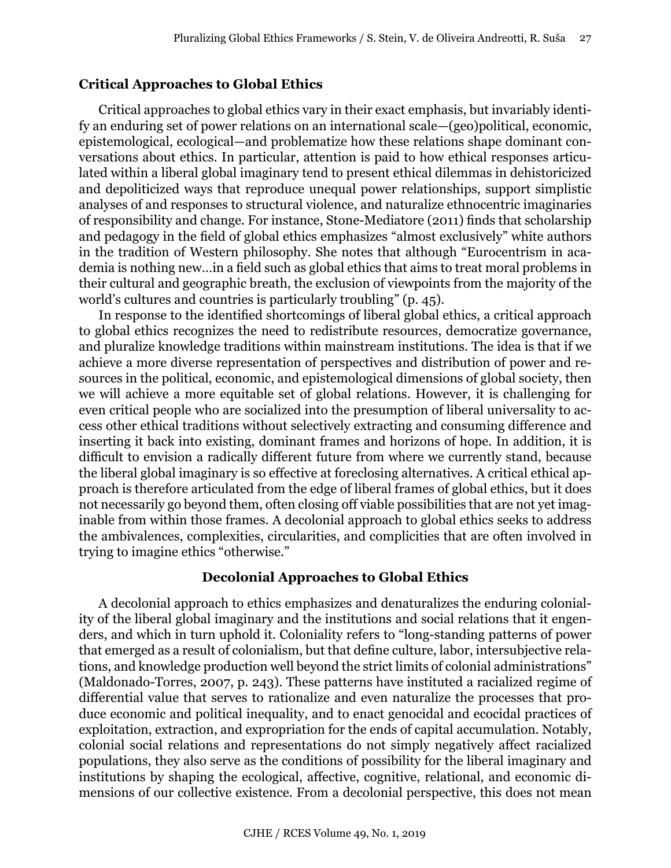# **Critical Approaches to Global Ethics**

Critical approaches to global ethics vary in their exact emphasis, but invariably identify an enduring set of power relations on an international scale—(geo)political, economic, epistemological, ecological—and problematize how these relations shape dominant conversations about ethics. In particular, attention is paid to how ethical responses articulated within a liberal global imaginary tend to present ethical dilemmas in dehistoricized and depoliticized ways that reproduce unequal power relationships, support simplistic analyses of and responses to structural violence, and naturalize ethnocentric imaginaries of responsibility and change. For instance, Stone-Mediatore (2011) finds that scholarship and pedagogy in the field of global ethics emphasizes "almost exclusively" white authors in the tradition of Western philosophy. She notes that although "Eurocentrism in academia is nothing new…in a field such as global ethics that aims to treat moral problems in their cultural and geographic breath, the exclusion of viewpoints from the majority of the world's cultures and countries is particularly troubling" (p. 45).

In response to the identified shortcomings of liberal global ethics, a critical approach to global ethics recognizes the need to redistribute resources, democratize governance, and pluralize knowledge traditions within mainstream institutions. The idea is that if we achieve a more diverse representation of perspectives and distribution of power and resources in the political, economic, and epistemological dimensions of global society, then we will achieve a more equitable set of global relations. However, it is challenging for even critical people who are socialized into the presumption of liberal universality to access other ethical traditions without selectively extracting and consuming difference and inserting it back into existing, dominant frames and horizons of hope. In addition, it is difficult to envision a radically different future from where we currently stand, because the liberal global imaginary is so effective at foreclosing alternatives. A critical ethical approach is therefore articulated from the edge of liberal frames of global ethics, but it does not necessarily go beyond them, often closing off viable possibilities that are not yet imaginable from within those frames. A decolonial approach to global ethics seeks to address the ambivalences, complexities, circularities, and complicities that are often involved in trying to imagine ethics "otherwise."

# **Decolonial Approaches to Global Ethics**

A decolonial approach to ethics emphasizes and denaturalizes the enduring coloniality of the liberal global imaginary and the institutions and social relations that it engenders, and which in turn uphold it. Coloniality refers to "long-standing patterns of power that emerged as a result of colonialism, but that define culture, labor, intersubjective relations, and knowledge production well beyond the strict limits of colonial administrations" (Maldonado-Torres, 2007, p. 243). These patterns have instituted a racialized regime of differential value that serves to rationalize and even naturalize the processes that produce economic and political inequality, and to enact genocidal and ecocidal practices of exploitation, extraction, and expropriation for the ends of capital accumulation. Notably, colonial social relations and representations do not simply negatively affect racialized populations, they also serve as the conditions of possibility for the liberal imaginary and institutions by shaping the ecological, affective, cognitive, relational, and economic dimensions of our collective existence. From a decolonial perspective, this does not mean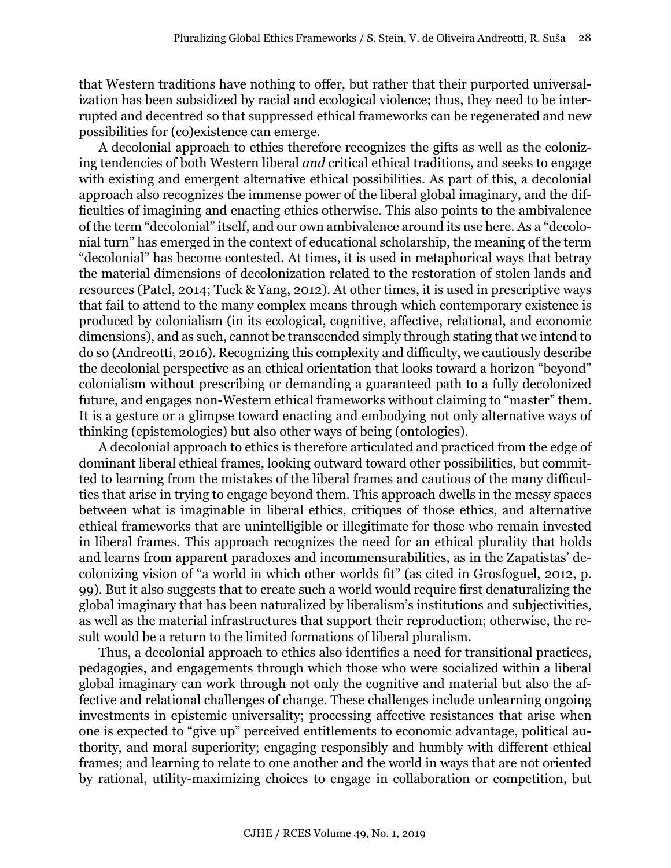that Western traditions have nothing to offer, but rather that their purported universalization has been subsidized by racial and ecological violence; thus, they need to be interrupted and decentred so that suppressed ethical frameworks can be regenerated and new possibilities for (co)existence can emerge.

A decolonial approach to ethics therefore recognizes the gifts as well as the colonizing tendencies of both Western liberal *and* critical ethical traditions, and seeks to engage with existing and emergent alternative ethical possibilities. As part of this, a decolonial approach also recognizes the immense power of the liberal global imaginary, and the difficulties of imagining and enacting ethics otherwise. This also points to the ambivalence of the term "decolonial" itself, and our own ambivalence around its use here. As a "decolonial turn" has emerged in the context of educational scholarship, the meaning of the term "decolonial" has become contested. At times, it is used in metaphorical ways that betray the material dimensions of decolonization related to the restoration of stolen lands and resources (Patel, 2014; Tuck & Yang, 2012). At other times, it is used in prescriptive ways that fail to attend to the many complex means through which contemporary existence is produced by colonialism (in its ecological, cognitive, affective, relational, and economic dimensions), and as such, cannot be transcended simply through stating that we intend to do so (Andreotti, 2016). Recognizing this complexity and difficulty, we cautiously describe the decolonial perspective as an ethical orientation that looks toward a horizon "beyond" colonialism without prescribing or demanding a guaranteed path to a fully decolonized future, and engages non-Western ethical frameworks without claiming to "master" them. It is a gesture or a glimpse toward enacting and embodying not only alternative ways of thinking (epistemologies) but also other ways of being (ontologies).

A decolonial approach to ethics is therefore articulated and practiced from the edge of dominant liberal ethical frames, looking outward toward other possibilities, but committed to learning from the mistakes of the liberal frames and cautious of the many difficulties that arise in trying to engage beyond them. This approach dwells in the messy spaces between what is imaginable in liberal ethics, critiques of those ethics, and alternative ethical frameworks that are unintelligible or illegitimate for those who remain invested in liberal frames. This approach recognizes the need for an ethical plurality that holds and learns from apparent paradoxes and incommensurabilities, as in the Zapatistas' decolonizing vision of "a world in which other worlds fit" (as cited in Grosfoguel, 2012, p. 99). But it also suggests that to create such a world would require first denaturalizing the global imaginary that has been naturalized by liberalism's institutions and subjectivities, as well as the material infrastructures that support their reproduction; otherwise, the result would be a return to the limited formations of liberal pluralism.

Thus, a decolonial approach to ethics also identifies a need for transitional practices, pedagogies, and engagements through which those who were socialized within a liberal global imaginary can work through not only the cognitive and material but also the affective and relational challenges of change. These challenges include unlearning ongoing investments in epistemic universality; processing affective resistances that arise when one is expected to "give up" perceived entitlements to economic advantage, political authority, and moral superiority; engaging responsibly and humbly with different ethical frames; and learning to relate to one another and the world in ways that are not oriented by rational, utility-maximizing choices to engage in collaboration or competition, but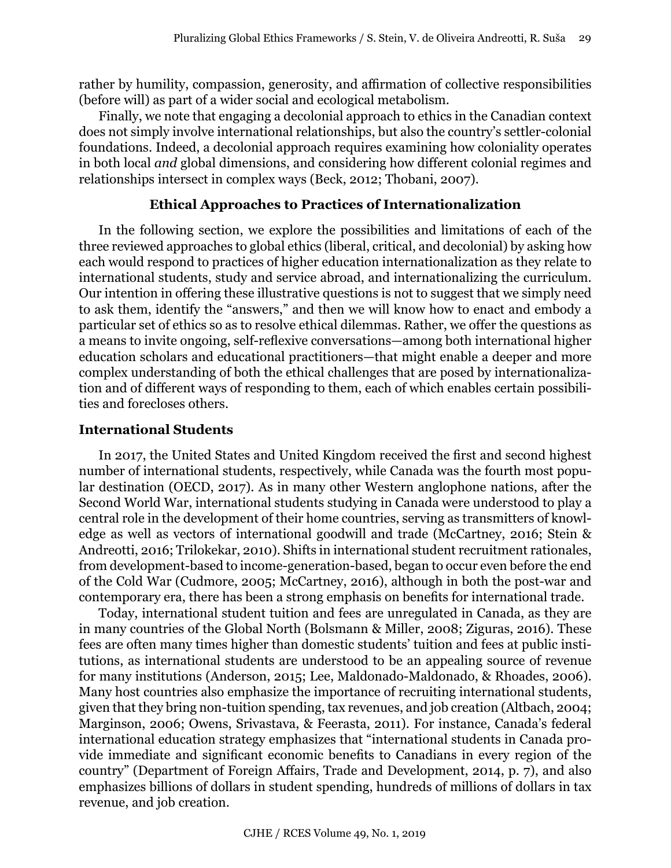rather by humility, compassion, generosity, and affirmation of collective responsibilities (before will) as part of a wider social and ecological metabolism.

Finally, we note that engaging a decolonial approach to ethics in the Canadian context does not simply involve international relationships, but also the country's settler-colonial foundations. Indeed, a decolonial approach requires examining how coloniality operates in both local *and* global dimensions, and considering how different colonial regimes and relationships intersect in complex ways (Beck, 2012; Thobani, 2007).

#### **Ethical Approaches to Practices of Internationalization**

In the following section, we explore the possibilities and limitations of each of the three reviewed approaches to global ethics (liberal, critical, and decolonial) by asking how each would respond to practices of higher education internationalization as they relate to international students, study and service abroad, and internationalizing the curriculum. Our intention in offering these illustrative questions is not to suggest that we simply need to ask them, identify the "answers," and then we will know how to enact and embody a particular set of ethics so as to resolve ethical dilemmas. Rather, we offer the questions as a means to invite ongoing, self-reflexive conversations—among both international higher education scholars and educational practitioners—that might enable a deeper and more complex understanding of both the ethical challenges that are posed by internationalization and of different ways of responding to them, each of which enables certain possibilities and forecloses others.

#### **International Students**

In 2017, the United States and United Kingdom received the first and second highest number of international students, respectively, while Canada was the fourth most popular destination (OECD, 2017). As in many other Western anglophone nations, after the Second World War, international students studying in Canada were understood to play a central role in the development of their home countries, serving as transmitters of knowledge as well as vectors of international goodwill and trade (McCartney, 2016; Stein & Andreotti, 2016; Trilokekar, 2010). Shifts in international student recruitment rationales, from development-based to income-generation-based, began to occur even before the end of the Cold War (Cudmore, 2005; McCartney, 2016), although in both the post-war and contemporary era, there has been a strong emphasis on benefits for international trade.

Today, international student tuition and fees are unregulated in Canada, as they are in many countries of the Global North (Bolsmann & Miller, 2008; Ziguras, 2016). These fees are often many times higher than domestic students' tuition and fees at public institutions, as international students are understood to be an appealing source of revenue for many institutions (Anderson, 2015; Lee, Maldonado-Maldonado, & Rhoades, 2006). Many host countries also emphasize the importance of recruiting international students, given that they bring non-tuition spending, tax revenues, and job creation (Altbach, 2004; Marginson, 2006; Owens, Srivastava, & Feerasta, 2011). For instance, Canada's federal international education strategy emphasizes that "international students in Canada provide immediate and significant economic benefits to Canadians in every region of the country" (Department of Foreign Affairs, Trade and Development, 2014, p. 7), and also emphasizes billions of dollars in student spending, hundreds of millions of dollars in tax revenue, and job creation.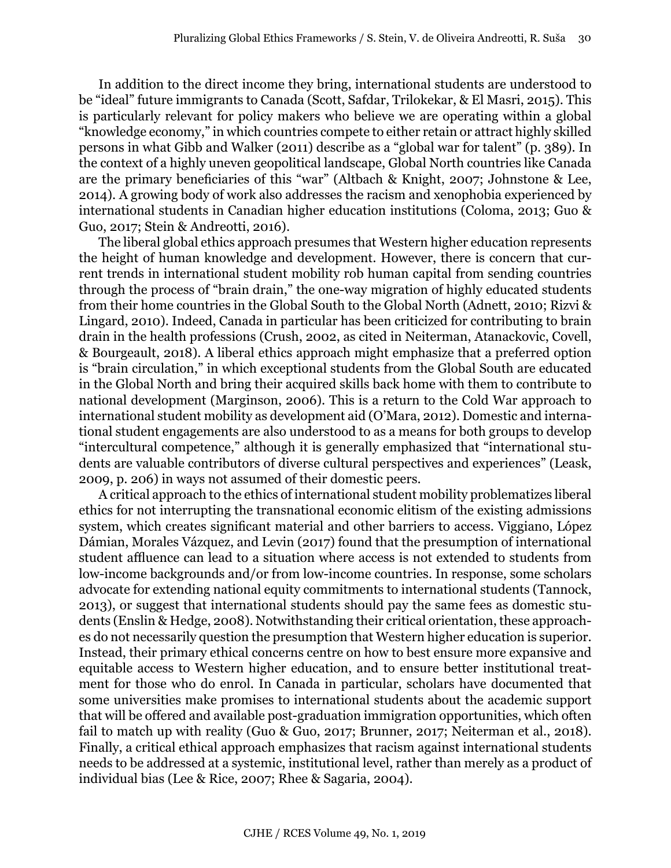In addition to the direct income they bring, international students are understood to be "ideal" future immigrants to Canada (Scott, Safdar, Trilokekar, & El Masri, 2015). This is particularly relevant for policy makers who believe we are operating within a global "knowledge economy," in which countries compete to either retain or attract highly skilled persons in what Gibb and Walker (2011) describe as a "global war for talent" (p. 389). In the context of a highly uneven geopolitical landscape, Global North countries like Canada are the primary beneficiaries of this "war" (Altbach & Knight, 2007; Johnstone & Lee, 2014). A growing body of work also addresses the racism and xenophobia experienced by international students in Canadian higher education institutions (Coloma, 2013; Guo & Guo, 2017; Stein & Andreotti, 2016).

The liberal global ethics approach presumes that Western higher education represents the height of human knowledge and development. However, there is concern that current trends in international student mobility rob human capital from sending countries through the process of "brain drain," the one-way migration of highly educated students from their home countries in the Global South to the Global North (Adnett, 2010; Rizvi & Lingard, 2010). Indeed, Canada in particular has been criticized for contributing to brain drain in the health professions (Crush, 2002, as cited in Neiterman, Atanackovic, Covell, & Bourgeault, 2018). A liberal ethics approach might emphasize that a preferred option is "brain circulation," in which exceptional students from the Global South are educated in the Global North and bring their acquired skills back home with them to contribute to national development (Marginson, 2006). This is a return to the Cold War approach to international student mobility as development aid (O'Mara, 2012). Domestic and international student engagements are also understood to as a means for both groups to develop "intercultural competence," although it is generally emphasized that "international students are valuable contributors of diverse cultural perspectives and experiences" (Leask, 2009, p. 206) in ways not assumed of their domestic peers.

A critical approach to the ethics of international student mobility problematizes liberal ethics for not interrupting the transnational economic elitism of the existing admissions system, which creates significant material and other barriers to access. Viggiano, López Dámian, Morales Vázquez, and Levin (2017) found that the presumption of international student affluence can lead to a situation where access is not extended to students from low-income backgrounds and/or from low-income countries. In response, some scholars advocate for extending national equity commitments to international students (Tannock, 2013), or suggest that international students should pay the same fees as domestic students (Enslin & Hedge, 2008). Notwithstanding their critical orientation, these approaches do not necessarily question the presumption that Western higher education is superior. Instead, their primary ethical concerns centre on how to best ensure more expansive and equitable access to Western higher education, and to ensure better institutional treatment for those who do enrol. In Canada in particular, scholars have documented that some universities make promises to international students about the academic support that will be offered and available post-graduation immigration opportunities, which often fail to match up with reality (Guo & Guo, 2017; Brunner, 2017; Neiterman et al., 2018). Finally, a critical ethical approach emphasizes that racism against international students needs to be addressed at a systemic, institutional level, rather than merely as a product of individual bias (Lee & Rice, 2007; Rhee & Sagaria, 2004).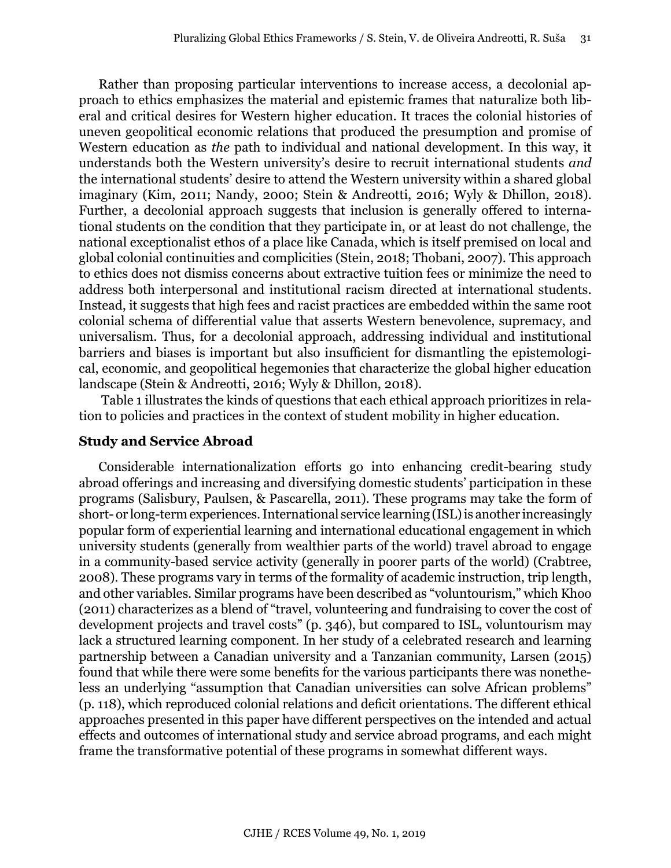Rather than proposing particular interventions to increase access, a decolonial approach to ethics emphasizes the material and epistemic frames that naturalize both liberal and critical desires for Western higher education. It traces the colonial histories of uneven geopolitical economic relations that produced the presumption and promise of Western education as *the* path to individual and national development. In this way, it understands both the Western university's desire to recruit international students *and* the international students' desire to attend the Western university within a shared global imaginary (Kim, 2011; Nandy, 2000; Stein & Andreotti, 2016; Wyly & Dhillon, 2018). Further, a decolonial approach suggests that inclusion is generally offered to international students on the condition that they participate in, or at least do not challenge, the national exceptionalist ethos of a place like Canada, which is itself premised on local and global colonial continuities and complicities (Stein, 2018; Thobani, 2007). This approach to ethics does not dismiss concerns about extractive tuition fees or minimize the need to address both interpersonal and institutional racism directed at international students. Instead, it suggests that high fees and racist practices are embedded within the same root colonial schema of differential value that asserts Western benevolence, supremacy, and universalism. Thus, for a decolonial approach, addressing individual and institutional barriers and biases is important but also insufficient for dismantling the epistemological, economic, and geopolitical hegemonies that characterize the global higher education landscape (Stein & Andreotti, 2016; Wyly & Dhillon, 2018).

 Table 1 illustrates the kinds of questions that each ethical approach prioritizes in relation to policies and practices in the context of student mobility in higher education.

# **Study and Service Abroad**

Considerable internationalization efforts go into enhancing credit-bearing study abroad offerings and increasing and diversifying domestic students' participation in these programs (Salisbury, Paulsen, & Pascarella, 2011). These programs may take the form of short- or long-term experiences. International service learning (ISL) is another increasingly popular form of experiential learning and international educational engagement in which university students (generally from wealthier parts of the world) travel abroad to engage in a community-based service activity (generally in poorer parts of the world) (Crabtree, 2008). These programs vary in terms of the formality of academic instruction, trip length, and other variables. Similar programs have been described as "voluntourism," which Khoo (2011) characterizes as a blend of "travel, volunteering and fundraising to cover the cost of development projects and travel costs" (p. 346), but compared to ISL, voluntourism may lack a structured learning component. In her study of a celebrated research and learning partnership between a Canadian university and a Tanzanian community, Larsen (2015) found that while there were some benefits for the various participants there was nonetheless an underlying "assumption that Canadian universities can solve African problems" (p. 118), which reproduced colonial relations and deficit orientations. The different ethical approaches presented in this paper have different perspectives on the intended and actual effects and outcomes of international study and service abroad programs, and each might frame the transformative potential of these programs in somewhat different ways.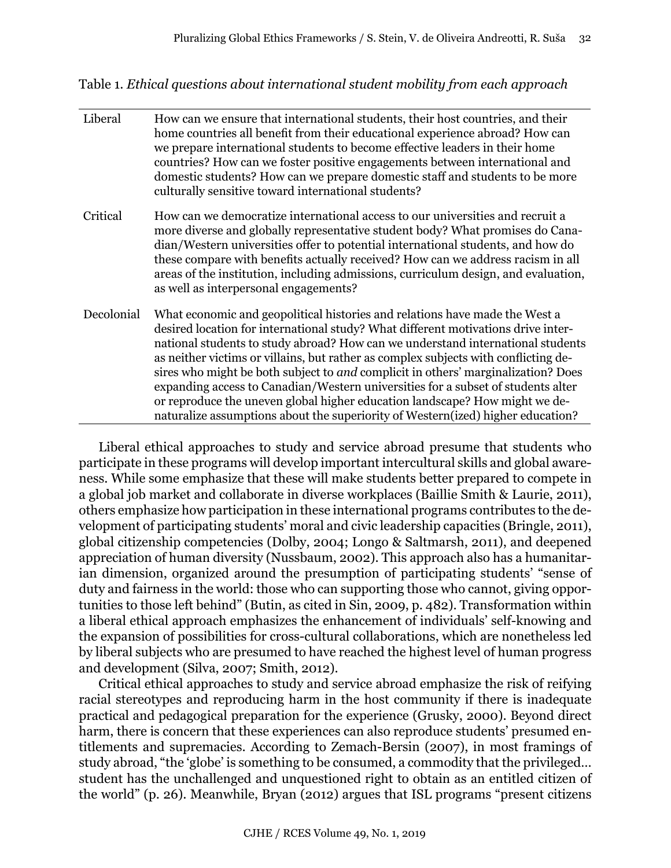Table 1. *Ethical questions about international student mobility from each approach*

| Liberal    | How can we ensure that international students, their host countries, and their<br>home countries all benefit from their educational experience abroad? How can<br>we prepare international students to become effective leaders in their home<br>countries? How can we foster positive engagements between international and<br>domestic students? How can we prepare domestic staff and students to be more<br>culturally sensitive toward international students?                                                                                                                                                                                                                   |
|------------|---------------------------------------------------------------------------------------------------------------------------------------------------------------------------------------------------------------------------------------------------------------------------------------------------------------------------------------------------------------------------------------------------------------------------------------------------------------------------------------------------------------------------------------------------------------------------------------------------------------------------------------------------------------------------------------|
| Critical   | How can we democratize international access to our universities and recruit a<br>more diverse and globally representative student body? What promises do Cana-<br>dian/Western universities offer to potential international students, and how do<br>these compare with benefits actually received? How can we address racism in all<br>areas of the institution, including admissions, curriculum design, and evaluation,<br>as well as interpersonal engagements?                                                                                                                                                                                                                   |
| Decolonial | What economic and geopolitical histories and relations have made the West a<br>desired location for international study? What different motivations drive inter-<br>national students to study abroad? How can we understand international students<br>as neither victims or villains, but rather as complex subjects with conflicting de-<br>sires who might be both subject to and complicit in others' marginalization? Does<br>expanding access to Canadian/Western universities for a subset of students alter<br>or reproduce the uneven global higher education landscape? How might we de-<br>naturalize assumptions about the superiority of Western(ized) higher education? |

Liberal ethical approaches to study and service abroad presume that students who participate in these programs will develop important intercultural skills and global awareness. While some emphasize that these will make students better prepared to compete in a global job market and collaborate in diverse workplaces (Baillie Smith & Laurie, 2011), others emphasize how participation in these international programs contributes to the development of participating students' moral and civic leadership capacities (Bringle, 2011), global citizenship competencies (Dolby, 2004; Longo & Saltmarsh, 2011), and deepened appreciation of human diversity (Nussbaum, 2002). This approach also has a humanitarian dimension, organized around the presumption of participating students' "sense of duty and fairness in the world: those who can supporting those who cannot, giving opportunities to those left behind" (Butin, as cited in Sin, 2009, p. 482). Transformation within a liberal ethical approach emphasizes the enhancement of individuals' self-knowing and the expansion of possibilities for cross-cultural collaborations, which are nonetheless led by liberal subjects who are presumed to have reached the highest level of human progress and development (Silva, 2007; Smith, 2012).

Critical ethical approaches to study and service abroad emphasize the risk of reifying racial stereotypes and reproducing harm in the host community if there is inadequate practical and pedagogical preparation for the experience (Grusky, 2000). Beyond direct harm, there is concern that these experiences can also reproduce students' presumed entitlements and supremacies. According to Zemach-Bersin (2007), in most framings of study abroad, "the 'globe' is something to be consumed, a commodity that the privileged… student has the unchallenged and unquestioned right to obtain as an entitled citizen of the world" (p. 26). Meanwhile, Bryan (2012) argues that ISL programs "present citizens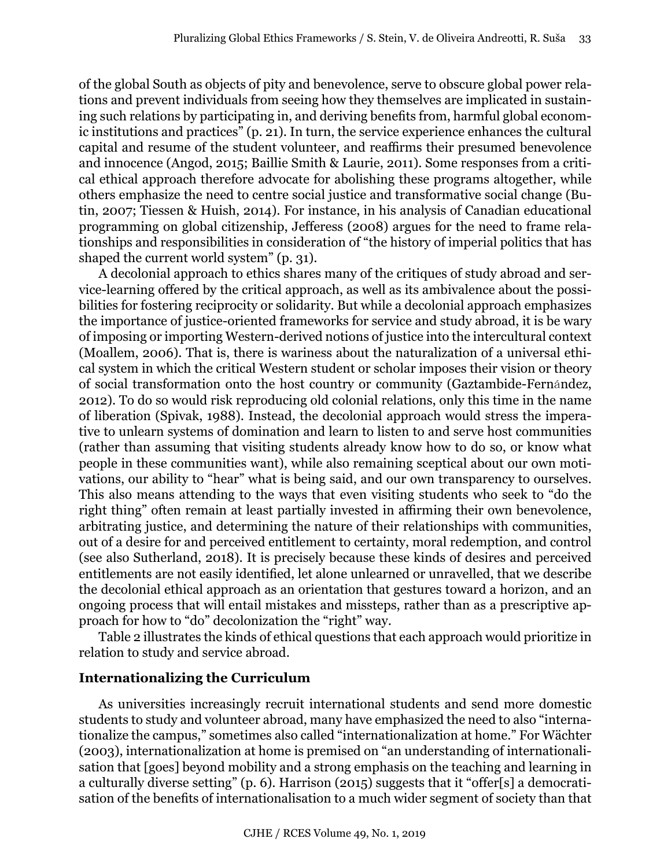of the global South as objects of pity and benevolence, serve to obscure global power relations and prevent individuals from seeing how they themselves are implicated in sustaining such relations by participating in, and deriving benefits from, harmful global economic institutions and practices" (p. 21). In turn, the service experience enhances the cultural capital and resume of the student volunteer, and reaffirms their presumed benevolence and innocence (Angod, 2015; Baillie Smith & Laurie, 2011). Some responses from a critical ethical approach therefore advocate for abolishing these programs altogether, while others emphasize the need to centre social justice and transformative social change (Butin, 2007; Tiessen & Huish, 2014). For instance, in his analysis of Canadian educational programming on global citizenship, Jefferess (2008) argues for the need to frame relationships and responsibilities in consideration of "the history of imperial politics that has shaped the current world system" (p. 31).

A decolonial approach to ethics shares many of the critiques of study abroad and service-learning offered by the critical approach, as well as its ambivalence about the possibilities for fostering reciprocity or solidarity. But while a decolonial approach emphasizes the importance of justice-oriented frameworks for service and study abroad, it is be wary of imposing or importing Western-derived notions of justice into the intercultural context (Moallem, 2006). That is, there is wariness about the naturalization of a universal ethical system in which the critical Western student or scholar imposes their vision or theory of social transformation onto the host country or community (Gaztambide-Fernández, 2012). To do so would risk reproducing old colonial relations, only this time in the name of liberation (Spivak, 1988). Instead, the decolonial approach would stress the imperative to unlearn systems of domination and learn to listen to and serve host communities (rather than assuming that visiting students already know how to do so, or know what people in these communities want), while also remaining sceptical about our own motivations, our ability to "hear" what is being said, and our own transparency to ourselves. This also means attending to the ways that even visiting students who seek to "do the right thing" often remain at least partially invested in affirming their own benevolence, arbitrating justice, and determining the nature of their relationships with communities, out of a desire for and perceived entitlement to certainty, moral redemption, and control (see also Sutherland, 2018). It is precisely because these kinds of desires and perceived entitlements are not easily identified, let alone unlearned or unravelled, that we describe the decolonial ethical approach as an orientation that gestures toward a horizon, and an ongoing process that will entail mistakes and missteps, rather than as a prescriptive approach for how to "do" decolonization the "right" way.

Table 2 illustrates the kinds of ethical questions that each approach would prioritize in relation to study and service abroad.

# **Internationalizing the Curriculum**

As universities increasingly recruit international students and send more domestic students to study and volunteer abroad, many have emphasized the need to also "internationalize the campus," sometimes also called "internationalization at home." For Wächter (2003), internationalization at home is premised on "an understanding of internationalisation that [goes] beyond mobility and a strong emphasis on the teaching and learning in a culturally diverse setting" (p. 6). Harrison (2015) suggests that it "offer[s] a democratisation of the benefits of internationalisation to a much wider segment of society than that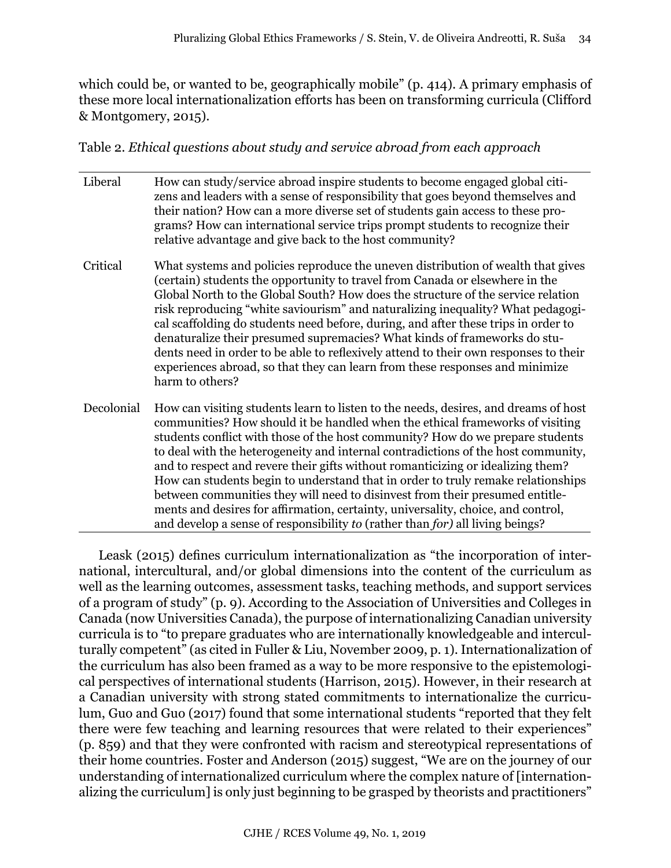which could be, or wanted to be, geographically mobile" (p. 414). A primary emphasis of these more local internationalization efforts has been on transforming curricula (Clifford & Montgomery, 2015).

Table 2. *Ethical questions about study and service abroad from each approach*

- Liberal How can study/service abroad inspire students to become engaged global citizens and leaders with a sense of responsibility that goes beyond themselves and their nation? How can a more diverse set of students gain access to these programs? How can international service trips prompt students to recognize their relative advantage and give back to the host community?
- Critical What systems and policies reproduce the uneven distribution of wealth that gives (certain) students the opportunity to travel from Canada or elsewhere in the Global North to the Global South? How does the structure of the service relation risk reproducing "white saviourism" and naturalizing inequality? What pedagogical scaffolding do students need before, during, and after these trips in order to denaturalize their presumed supremacies? What kinds of frameworks do students need in order to be able to reflexively attend to their own responses to their experiences abroad, so that they can learn from these responses and minimize harm to others?
- Decolonial How can visiting students learn to listen to the needs, desires, and dreams of host communities? How should it be handled when the ethical frameworks of visiting students conflict with those of the host community? How do we prepare students to deal with the heterogeneity and internal contradictions of the host community, and to respect and revere their gifts without romanticizing or idealizing them? How can students begin to understand that in order to truly remake relationships between communities they will need to disinvest from their presumed entitlements and desires for affirmation, certainty, universality, choice, and control, and develop a sense of responsibility *to* (rather than *for)* all living beings?

Leask (2015) defines curriculum internationalization as "the incorporation of international, intercultural, and/or global dimensions into the content of the curriculum as well as the learning outcomes, assessment tasks, teaching methods, and support services of a program of study" (p. 9). According to the Association of Universities and Colleges in Canada (now Universities Canada), the purpose of internationalizing Canadian university curricula is to "to prepare graduates who are internationally knowledgeable and interculturally competent" (as cited in Fuller & Liu, November 2009, p. 1). Internationalization of the curriculum has also been framed as a way to be more responsive to the epistemological perspectives of international students (Harrison, 2015). However, in their research at a Canadian university with strong stated commitments to internationalize the curriculum, Guo and Guo (2017) found that some international students "reported that they felt there were few teaching and learning resources that were related to their experiences" (p. 859) and that they were confronted with racism and stereotypical representations of their home countries. Foster and Anderson (2015) suggest, "We are on the journey of our understanding of internationalized curriculum where the complex nature of [internationalizing the curriculum] is only just beginning to be grasped by theorists and practitioners"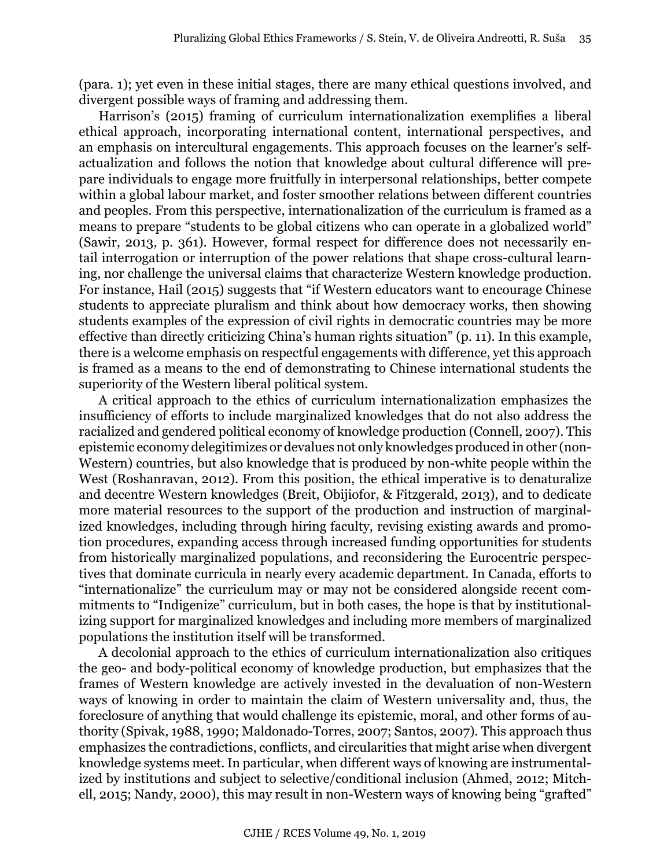(para. 1); yet even in these initial stages, there are many ethical questions involved, and divergent possible ways of framing and addressing them.

Harrison's (2015) framing of curriculum internationalization exemplifies a liberal ethical approach, incorporating international content, international perspectives, and an emphasis on intercultural engagements. This approach focuses on the learner's selfactualization and follows the notion that knowledge about cultural difference will prepare individuals to engage more fruitfully in interpersonal relationships, better compete within a global labour market, and foster smoother relations between different countries and peoples. From this perspective, internationalization of the curriculum is framed as a means to prepare "students to be global citizens who can operate in a globalized world" (Sawir, 2013, p. 361). However, formal respect for difference does not necessarily entail interrogation or interruption of the power relations that shape cross-cultural learning, nor challenge the universal claims that characterize Western knowledge production. For instance, Hail (2015) suggests that "if Western educators want to encourage Chinese students to appreciate pluralism and think about how democracy works, then showing students examples of the expression of civil rights in democratic countries may be more effective than directly criticizing China's human rights situation" (p. 11). In this example, there is a welcome emphasis on respectful engagements with difference, yet this approach is framed as a means to the end of demonstrating to Chinese international students the superiority of the Western liberal political system.

A critical approach to the ethics of curriculum internationalization emphasizes the insufficiency of efforts to include marginalized knowledges that do not also address the racialized and gendered political economy of knowledge production (Connell, 2007). This epistemic economy delegitimizes or devalues not only knowledges produced in other (non-Western) countries, but also knowledge that is produced by non-white people within the West (Roshanravan, 2012). From this position, the ethical imperative is to denaturalize and decentre Western knowledges (Breit, Obijiofor, & Fitzgerald, 2013), and to dedicate more material resources to the support of the production and instruction of marginalized knowledges, including through hiring faculty, revising existing awards and promotion procedures, expanding access through increased funding opportunities for students from historically marginalized populations, and reconsidering the Eurocentric perspectives that dominate curricula in nearly every academic department. In Canada, efforts to "internationalize" the curriculum may or may not be considered alongside recent commitments to "Indigenize" curriculum, but in both cases, the hope is that by institutionalizing support for marginalized knowledges and including more members of marginalized populations the institution itself will be transformed.

A decolonial approach to the ethics of curriculum internationalization also critiques the geo- and body-political economy of knowledge production, but emphasizes that the frames of Western knowledge are actively invested in the devaluation of non-Western ways of knowing in order to maintain the claim of Western universality and, thus, the foreclosure of anything that would challenge its epistemic, moral, and other forms of authority (Spivak, 1988, 1990; Maldonado-Torres, 2007; Santos, 2007). This approach thus emphasizes the contradictions, conflicts, and circularities that might arise when divergent knowledge systems meet. In particular, when different ways of knowing are instrumentalized by institutions and subject to selective/conditional inclusion (Ahmed, 2012; Mitchell, 2015; Nandy, 2000), this may result in non-Western ways of knowing being "grafted"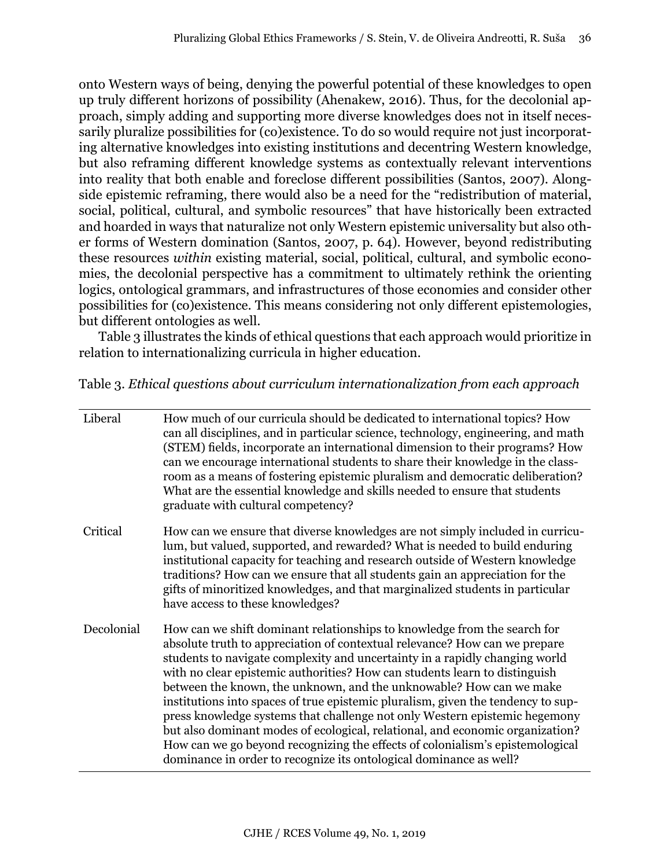onto Western ways of being, denying the powerful potential of these knowledges to open up truly different horizons of possibility (Ahenakew, 2016). Thus, for the decolonial approach, simply adding and supporting more diverse knowledges does not in itself necessarily pluralize possibilities for (co)existence. To do so would require not just incorporating alternative knowledges into existing institutions and decentring Western knowledge, but also reframing different knowledge systems as contextually relevant interventions into reality that both enable and foreclose different possibilities (Santos, 2007). Alongside epistemic reframing, there would also be a need for the "redistribution of material, social, political, cultural, and symbolic resources" that have historically been extracted and hoarded in ways that naturalize not only Western epistemic universality but also other forms of Western domination (Santos, 2007, p. 64). However, beyond redistributing these resources *within* existing material, social, political, cultural, and symbolic economies, the decolonial perspective has a commitment to ultimately rethink the orienting logics, ontological grammars, and infrastructures of those economies and consider other possibilities for (co)existence. This means considering not only different epistemologies, but different ontologies as well.

Table 3 illustrates the kinds of ethical questions that each approach would prioritize in relation to internationalizing curricula in higher education.

| Liberal    | How much of our curricula should be dedicated to international topics? How<br>can all disciplines, and in particular science, technology, engineering, and math<br>(STEM) fields, incorporate an international dimension to their programs? How<br>can we encourage international students to share their knowledge in the class-<br>room as a means of fostering epistemic pluralism and democratic deliberation?<br>What are the essential knowledge and skills needed to ensure that students<br>graduate with cultural competency?                                                                                                                                                                                                                                                               |
|------------|------------------------------------------------------------------------------------------------------------------------------------------------------------------------------------------------------------------------------------------------------------------------------------------------------------------------------------------------------------------------------------------------------------------------------------------------------------------------------------------------------------------------------------------------------------------------------------------------------------------------------------------------------------------------------------------------------------------------------------------------------------------------------------------------------|
| Critical   | How can we ensure that diverse knowledges are not simply included in curricu-<br>lum, but valued, supported, and rewarded? What is needed to build enduring<br>institutional capacity for teaching and research outside of Western knowledge<br>traditions? How can we ensure that all students gain an appreciation for the<br>gifts of minoritized knowledges, and that marginalized students in particular<br>have access to these knowledges?                                                                                                                                                                                                                                                                                                                                                    |
| Decolonial | How can we shift dominant relationships to knowledge from the search for<br>absolute truth to appreciation of contextual relevance? How can we prepare<br>students to navigate complexity and uncertainty in a rapidly changing world<br>with no clear epistemic authorities? How can students learn to distinguish<br>between the known, the unknown, and the unknowable? How can we make<br>institutions into spaces of true epistemic pluralism, given the tendency to sup-<br>press knowledge systems that challenge not only Western epistemic hegemony<br>but also dominant modes of ecological, relational, and economic organization?<br>How can we go beyond recognizing the effects of colonialism's epistemological<br>dominance in order to recognize its ontological dominance as well? |

Table 3. *Ethical questions about curriculum internationalization from each approach*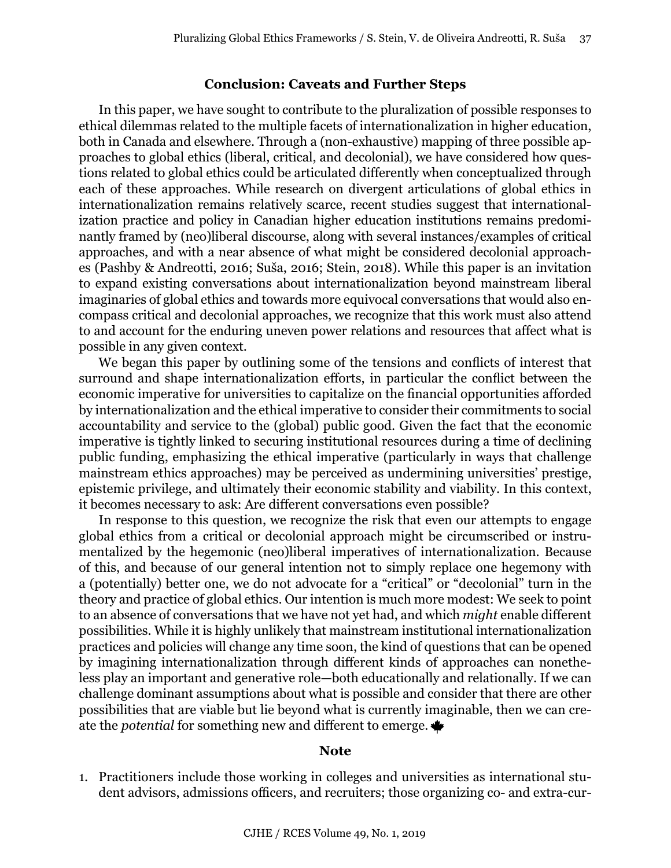#### **Conclusion: Caveats and Further Steps**

In this paper, we have sought to contribute to the pluralization of possible responses to ethical dilemmas related to the multiple facets of internationalization in higher education, both in Canada and elsewhere. Through a (non-exhaustive) mapping of three possible approaches to global ethics (liberal, critical, and decolonial), we have considered how questions related to global ethics could be articulated differently when conceptualized through each of these approaches. While research on divergent articulations of global ethics in internationalization remains relatively scarce, recent studies suggest that internationalization practice and policy in Canadian higher education institutions remains predominantly framed by (neo)liberal discourse, along with several instances/examples of critical approaches, and with a near absence of what might be considered decolonial approaches (Pashby & Andreotti, 2016; Suša, 2016; Stein, 2018). While this paper is an invitation to expand existing conversations about internationalization beyond mainstream liberal imaginaries of global ethics and towards more equivocal conversations that would also encompass critical and decolonial approaches, we recognize that this work must also attend to and account for the enduring uneven power relations and resources that affect what is possible in any given context.

We began this paper by outlining some of the tensions and conflicts of interest that surround and shape internationalization efforts, in particular the conflict between the economic imperative for universities to capitalize on the financial opportunities afforded by internationalization and the ethical imperative to consider their commitments to social accountability and service to the (global) public good. Given the fact that the economic imperative is tightly linked to securing institutional resources during a time of declining public funding, emphasizing the ethical imperative (particularly in ways that challenge mainstream ethics approaches) may be perceived as undermining universities' prestige, epistemic privilege, and ultimately their economic stability and viability. In this context, it becomes necessary to ask: Are different conversations even possible?

In response to this question, we recognize the risk that even our attempts to engage global ethics from a critical or decolonial approach might be circumscribed or instrumentalized by the hegemonic (neo)liberal imperatives of internationalization. Because of this, and because of our general intention not to simply replace one hegemony with a (potentially) better one, we do not advocate for a "critical" or "decolonial" turn in the theory and practice of global ethics. Our intention is much more modest: We seek to point to an absence of conversations that we have not yet had, and which *might* enable different possibilities. While it is highly unlikely that mainstream institutional internationalization practices and policies will change any time soon, the kind of questions that can be opened by imagining internationalization through different kinds of approaches can nonetheless play an important and generative role—both educationally and relationally. If we can challenge dominant assumptions about what is possible and consider that there are other possibilities that are viable but lie beyond what is currently imaginable, then we can create the *potential* for something new and different to emerge.

#### **Note**

1. Practitioners include those working in colleges and universities as international student advisors, admissions officers, and recruiters; those organizing co- and extra-cur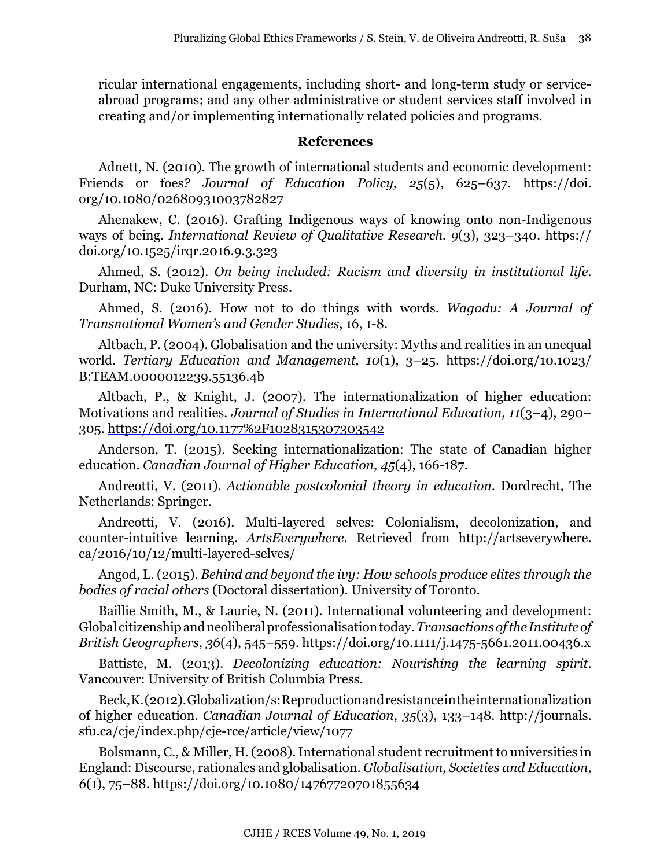ricular international engagements, including short- and long-term study or serviceabroad programs; and any other administrative or student services staff involved in creating and/or implementing internationally related policies and programs.

#### **References**

Adnett, N. (2010). The growth of international students and economic development: Friends or foes*? Journal of Education Policy, 25*(5), 625–637. https://doi. org/10.1080/02680931003782827

Ahenakew, C. (2016). Grafting Indigenous ways of knowing onto non-Indigenous ways of being*. International Review of Qualitative Research. 9*(3), 323–340. https:// doi.org/10.1525/irqr.2016.9.3.323

Ahmed, S. (2012). *On being included: Racism and diversity in institutional life.*  Durham, NC: Duke University Press.

Ahmed, S. (2016). How not to do things with words. *Wagadu: A Journal of Transnational Women's and Gender Studies*, 16, 1-8.

Altbach, P. (2004). Globalisation and the university: Myths and realities in an unequal world. *Tertiary Education and Management, 10*(1), 3–25. https://doi.org/10.1023/ B:TEAM.0000012239.55136.4b

Altbach, P., & Knight, J. (2007). The internationalization of higher education: Motivations and realities*. Journal of Studies in International Education, 11*(3–4), 290– 305. <https://doi.org/10.1177%2F1028315307303542>

Anderson, T. (2015). Seeking internationalization: The state of Canadian higher education. *Canadian Journal of Higher Education*, *45*(4), 166-187.

Andreotti, V. (2011). *Actionable postcolonial theory in education*. Dordrecht, The Netherlands: Springer.

Andreotti, V. (2016). Multi-layered selves: Colonialism, decolonization, and counter-intuitive learning. *ArtsEverywhere*. Retrieved from http://artseverywhere. ca/2016/10/12/multi-layered-selves/

Angod, L. (2015). *Behind and beyond the ivy: How schools produce elites through the bodies of racial others* (Doctoral dissertation). University of Toronto.

Baillie Smith, M., & Laurie, N. (2011). International volunteering and development: Global citizenship and neoliberal professionalisation today. *Transactions of the Institute of British Geographers, 36*(4), 545–559. https://doi.org/10.1111/j.1475-5661.2011.00436.x

Battiste, M. (2013). *Decolonizing education: Nourishing the learning spirit.*  Vancouver: University of British Columbia Press.

Beck, K. (2012). Globalization/s: Reproduction and resistance in the internationalization of higher education. *Canadian Journal of Education*, *35*(3), 133–148. http://journals. sfu.ca/cje/index.php/cje-rce/article/view/1077

Bolsmann, C., & Miller, H. (2008). International student recruitment to universities in England: Discourse, rationales and globalisation. *Globalisation, Societies and Education, 6*(1), 75–88. https://doi.org/10.1080/14767720701855634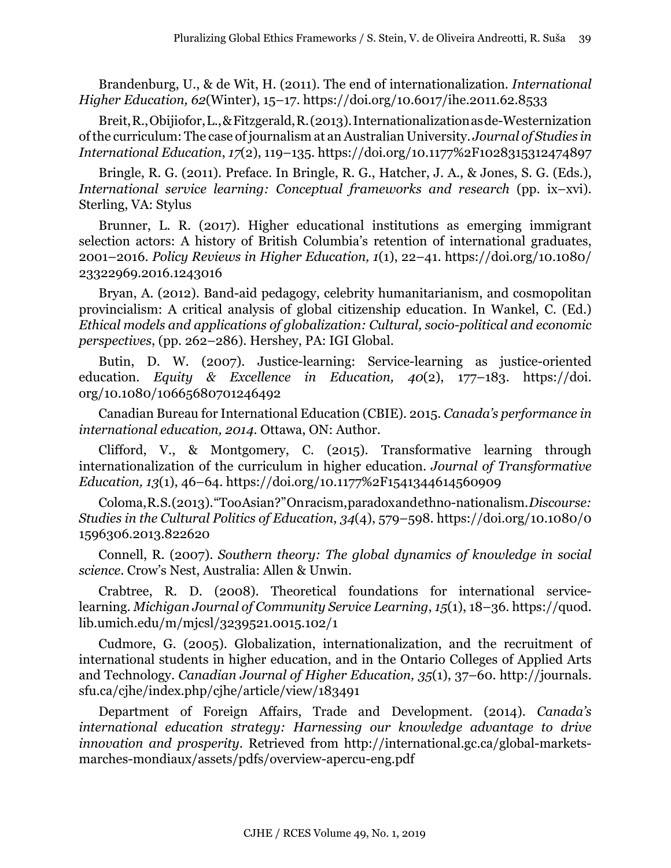Brandenburg, U., & de Wit, H. (2011). The end of internationalization. *International Higher Education, 62*(Winter), 15–17. https://doi.org/10.6017/ihe.2011.62.8533

Breit, R., Obijiofor, L., & Fitzgerald, R. (2013). Internationalization as de-Westernization of the curriculum: The case of journalism at an Australian University. *Journal of Studies in International Education*, *17*(2), 119–135. https://doi.org/10.1177%2F1028315312474897

Bringle, R. G. (2011). Preface. In Bringle, R. G., Hatcher, J. A., & Jones, S. G. (Eds.), *International service learning: Conceptual frameworks and research (pp. ix–xvi).* Sterling, VA: Stylus

Brunner, L. R. (2017). Higher educational institutions as emerging immigrant selection actors: A history of British Columbia's retention of international graduates, 2001–2016. *Policy Reviews in Higher Education, 1*(1), 22–41. https://doi.org/10.1080/ 23322969.2016.1243016

Bryan, A. (2012). Band-aid pedagogy, celebrity humanitarianism, and cosmopolitan provincialism: A critical analysis of global citizenship education. In Wankel, C. (Ed.) *Ethical models and applications of globalization: Cultural, socio-political and economic perspectives*, (pp. 262–286). Hershey, PA: IGI Global.

Butin, D. W. (2007). Justice-learning: Service-learning as justice-oriented education. *Equity & Excellence in Education, 40*(2), 177–183. https://doi. org/10.1080/10665680701246492

Canadian Bureau for International Education (CBIE). 2015. *Canada's performance in international education, 2014.* Ottawa, ON: Author.

Clifford, V., & Montgomery, C. (2015). Transformative learning through internationalization of the curriculum in higher education. *Journal of Transformative Education, 13*(1), 46–64. https://doi.org/10.1177%2F1541344614560909

Coloma, R. S. (2013). "Too Asian?" On racism, paradox and ethno-nationalism.*Discourse: Studies in the Cultural Politics of Education*, *34*(4), 579–598. https://doi.org/10.1080/0 1596306.2013.822620

Connell, R. (2007). *Southern theory: The global dynamics of knowledge in social science*. Crow's Nest, Australia: Allen & Unwin.

Crabtree, R. D. (2008). Theoretical foundations for international servicelearning. *Michigan Journal of Community Service Learning*, *15*(1), 18–36. https://quod. lib.umich.edu/m/mjcsl/3239521.0015.102/1

Cudmore, G. (2005). Globalization, internationalization, and the recruitment of international students in higher education, and in the Ontario Colleges of Applied Arts and Technology. *Canadian Journal of Higher Education, 35*(1), 37–60. http://journals. sfu.ca/cjhe/index.php/cjhe/article/view/183491

Department of Foreign Affairs, Trade and Development. (2014). *Canada's international education strategy: Harnessing our knowledge advantage to drive innovation and prosperity*. Retrieved from http://international.gc.ca/global-marketsmarches-mondiaux/assets/pdfs/overview-apercu-eng.pdf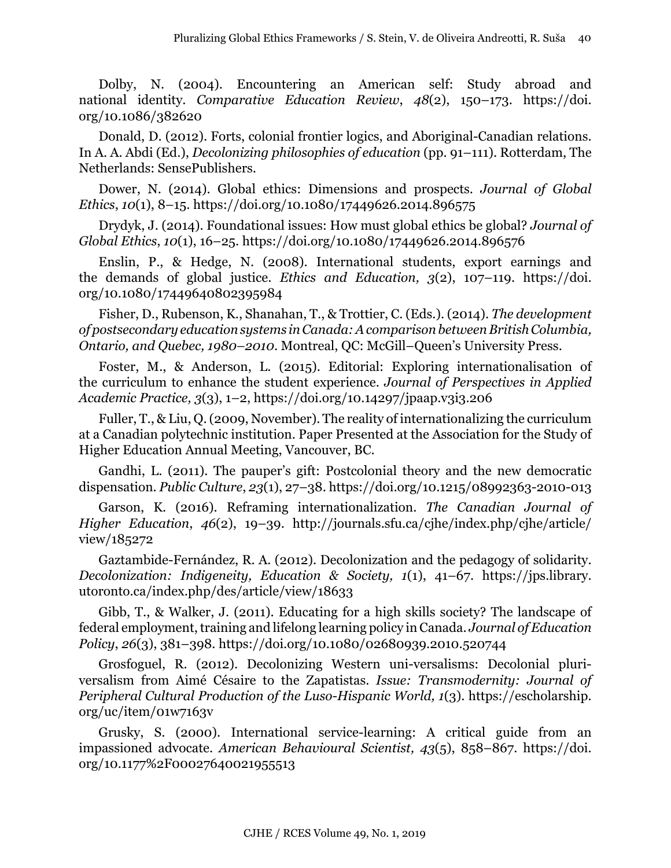Dolby, N. (2004). Encountering an American self: Study abroad and national identity. *Comparative Education Review*, *48*(2), 150–173. https://doi. org/10.1086/382620

Donald, D. (2012). Forts, colonial frontier logics, and Aboriginal-Canadian relations. In A. A. Abdi (Ed.), *Decolonizing philosophies of education* (pp. 91–111). Rotterdam, The Netherlands: SensePublishers.

Dower, N. (2014). Global ethics: Dimensions and prospects. *Journal of Global Ethics*, *10*(1), 8–15. https://doi.org/10.1080/17449626.2014.896575

Drydyk, J. (2014). Foundational issues: How must global ethics be global? *Journal of Global Ethics*, *10*(1), 16–25. https://doi.org/10.1080/17449626.2014.896576

Enslin, P., & Hedge, N. (2008). International students, export earnings and the demands of global justice. *Ethics and Education, 3*(2), 107–119. https://doi. org/10.1080/17449640802395984

Fisher, D., Rubenson, K., Shanahan, T., & Trottier, C. (Eds.). (2014). *The development of postsecondary education systems in Canada: A comparison between British Columbia, Ontario, and Quebec, 1980–2010*. Montreal, QC: McGill–Queen's University Press.

Foster, M., & Anderson, L. (2015). Editorial: Exploring internationalisation of the curriculum to enhance the student experience. *Journal of Perspectives in Applied Academic Practice, 3*(3), 1–2, https://doi.org/10.14297/jpaap.v3i3.206

Fuller, T., & Liu, Q. (2009, November). The reality of internationalizing the curriculum at a Canadian polytechnic institution. Paper Presented at the Association for the Study of Higher Education Annual Meeting, Vancouver, BC.

Gandhi, L. (2011). The pauper's gift: Postcolonial theory and the new democratic dispensation. *Public Culture*, *23*(1), 27–38. https://doi.org/10.1215/08992363-2010-013

Garson, K. (2016). Reframing internationalization. *The Canadian Journal of Higher Education*, *46*(2), 19–39. http://journals.sfu.ca/cjhe/index.php/cjhe/article/ view/185272

Gaztambide-Fernández, R. A. (2012). Decolonization and the pedagogy of solidarity. *Decolonization: Indigeneity, Education & Society, 1*(1), 41–67. https://jps.library. utoronto.ca/index.php/des/article/view/18633

Gibb, T., & Walker, J. (2011). Educating for a high skills society? The landscape of federal employment, training and lifelong learning policy in Canada. *Journal of Education Policy*, *26*(3), 381–398. https://doi.org/10.1080/02680939.2010.520744

Grosfoguel, R. (2012). Decolonizing Western uni-versalisms: Decolonial pluriversalism from Aimé Césaire to the Zapatistas. *Issue: Transmodernity: Journal of Peripheral Cultural Production of the Luso-Hispanic World, 1*(3). https://escholarship. org/uc/item/01w7163v

Grusky, S. (2000). International service-learning: A critical guide from an impassioned advocate. *American Behavioural Scientist, 43*(5), 858–867. https://doi. org/10.1177%2F00027640021955513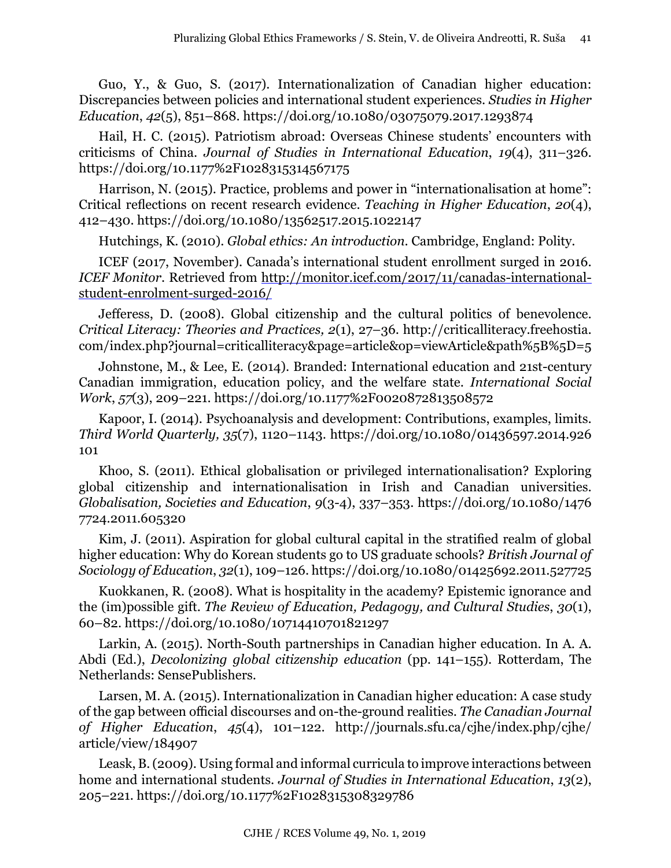Guo, Y., & Guo, S. (2017). Internationalization of Canadian higher education: Discrepancies between policies and international student experiences. *Studies in Higher Education*, *42*(5), 851–868. https://doi.org/10.1080/03075079.2017.1293874

Hail, H. C. (2015). Patriotism abroad: Overseas Chinese students' encounters with criticisms of China. *Journal of Studies in International Education*, *19*(4), 311–326. https://doi.org/10.1177%2F1028315314567175

Harrison, N. (2015). Practice, problems and power in "internationalisation at home": Critical reflections on recent research evidence. *Teaching in Higher Education*, *20*(4), 412–430. https://doi.org/10.1080/13562517.2015.1022147

Hutchings, K. (2010). *Global ethics: An introduction*. Cambridge, England: Polity.

ICEF (2017, November). Canada's international student enrollment surged in 2016. *ICEF Monitor*. Retrieved from [http://monitor.icef.com/2017/11/canadas-international](http://monitor.icef.com/2017/11/canadas-international-student-enrolment-surged-2016/)[student-enrolment-surged-2016/](http://monitor.icef.com/2017/11/canadas-international-student-enrolment-surged-2016/)

Jefferess, D. (2008). Global citizenship and the cultural politics of benevolence. *Critical Literacy: Theories and Practices, 2*(1), 27–36. http://criticalliteracy.freehostia. com/index.php?journal=criticalliteracy&page=article&op=viewArticle&path%5B%5D=5

Johnstone, M., & Lee, E. (2014). Branded: International education and 21st-century Canadian immigration, education policy, and the welfare state. *International Social Work*, *57*(3), 209–221. https://doi.org/10.1177%2F0020872813508572

Kapoor, I. (2014). Psychoanalysis and development: Contributions, examples, limits. *Third World Quarterly, 35*(7), 1120–1143. https://doi.org/10.1080/01436597.2014.926 101

Khoo, S. (2011). Ethical globalisation or privileged internationalisation? Exploring global citizenship and internationalisation in Irish and Canadian universities. *Globalisation, Societies and Education*, *9*(3-4), 337–353. https://doi.org/10.1080/1476 7724.2011.605320

Kim, J. (2011). Aspiration for global cultural capital in the stratified realm of global higher education: Why do Korean students go to US graduate schools? *British Journal of Sociology of Education*, *32*(1), 109–126. https://doi.org/10.1080/01425692.2011.527725

Kuokkanen, R. (2008). What is hospitality in the academy? Epistemic ignorance and the (im)possible gift. *The Review of Education, Pedagogy, and Cultural Studies*, *30*(1), 60–82. https://doi.org/10.1080/10714410701821297

Larkin, A. (2015). North-South partnerships in Canadian higher education. In A. A. Abdi (Ed.), *Decolonizing global citizenship education* (pp. 141–155). Rotterdam, The Netherlands: SensePublishers.

Larsen, M. A. (2015). Internationalization in Canadian higher education: A case study of the gap between official discourses and on-the-ground realities. *The Canadian Journal of Higher Education*, *45*(4), 101–122. http://journals.sfu.ca/cjhe/index.php/cjhe/ article/view/184907

Leask, B. (2009). Using formal and informal curricula to improve interactions between home and international students. *Journal of Studies in International Education*, *13*(2), 205–221. https://doi.org/10.1177%2F1028315308329786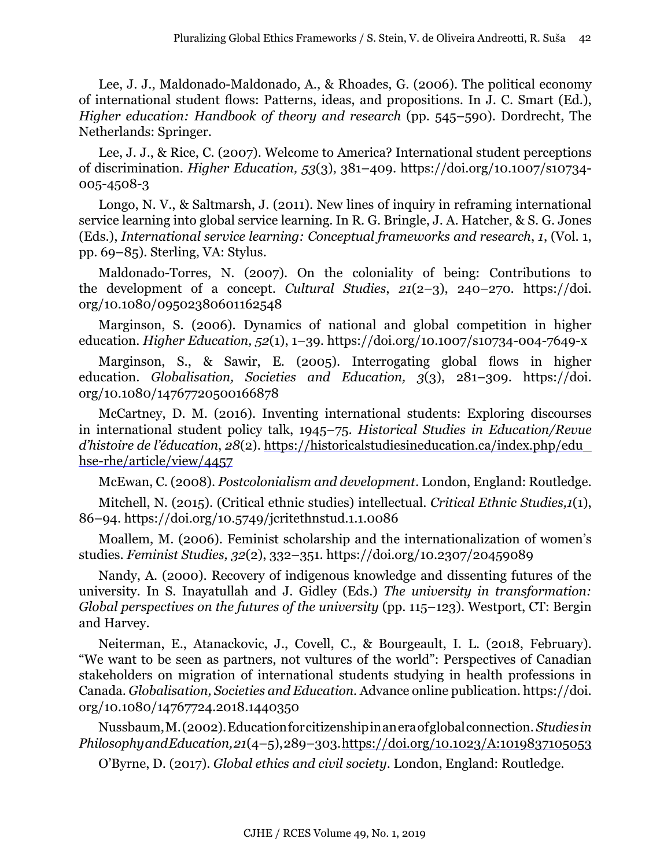Lee, J. J., Maldonado-Maldonado, A., & Rhoades, G. (2006). The political economy of international student flows: Patterns, ideas, and propositions. In J. C. Smart (Ed.), *Higher education: Handbook of theory and research (pp. 545–590). Dordrecht, The* Netherlands: Springer.

Lee, J. J., & Rice, C. (2007). Welcome to America? International student perceptions of discrimination. *Higher Education, 53*(3), 381–409. https://doi.org/10.1007/s10734- 005-4508-3

Longo, N. V., & Saltmarsh, J. (2011). New lines of inquiry in reframing international service learning into global service learning. In R. G. Bringle, J. A. Hatcher, & S. G. Jones (Eds.), *International service learning: Conceptual frameworks and research*, *1*, (Vol. 1, pp. 69–85). Sterling, VA: Stylus.

Maldonado-Torres, N. (2007). On the coloniality of being: Contributions to the development of a concept. *Cultural Studies*, *21*(2–3), 240–270. https://doi. org/10.1080/09502380601162548

Marginson, S. (2006). Dynamics of national and global competition in higher education. *Higher Education, 52*(1), 1–39. https://doi.org/10.1007/s10734-004-7649-x

Marginson, S., & Sawir, E. (2005). Interrogating global flows in higher education. *Globalisation, Societies and Education, 3*(3), 281–309. https://doi. org/10.1080/14767720500166878

McCartney, D. M. (2016). Inventing international students: Exploring discourses in international student policy talk, 1945–75. *Historical Studies in Education/Revue d'histoire de l'éducation*, *28*(2). [https://historicalstudiesineducation.ca/index.php/edu\\_](https://historicalstudiesineducation.ca/index.php/edu_hse-rhe/article/view/4457) [hse-rhe/article/view/4457](https://historicalstudiesineducation.ca/index.php/edu_hse-rhe/article/view/4457)

McEwan, C. (2008). *Postcolonialism and development*. London, England: Routledge.

Mitchell, N. (2015). (Critical ethnic studies) intellectual. *Critical Ethnic Studies,1*(1), 86–94. https://doi.org/10.5749/jcritethnstud.1.1.0086

Moallem, M. (2006). Feminist scholarship and the internationalization of women's studies. *Feminist Studies, 32*(2), 332–351. https://doi.org/10.2307/20459089

Nandy, A. (2000). Recovery of indigenous knowledge and dissenting futures of the university. In S. Inayatullah and J. Gidley (Eds.) *The university in transformation: Global perspectives on the futures of the university* (pp. 115–123). Westport, CT: Bergin and Harvey.

Neiterman, E., Atanackovic, J., Covell, C., & Bourgeault, I. L. (2018, February). "We want to be seen as partners, not vultures of the world": Perspectives of Canadian stakeholders on migration of international students studying in health professions in Canada. *Globalisation, Societies and Education.* Advance online publication. https://doi. org/10.1080/14767724.2018.1440350

Nussbaum, M. (2002). Education for citizenship in an era of global connection. *Studies in Philosophy and Education, 21*(4–5), 289–303.<https://doi.org/10.1023/A:1019837105053>

O'Byrne, D. (2017). *Global ethics and civil society*. London, England: Routledge.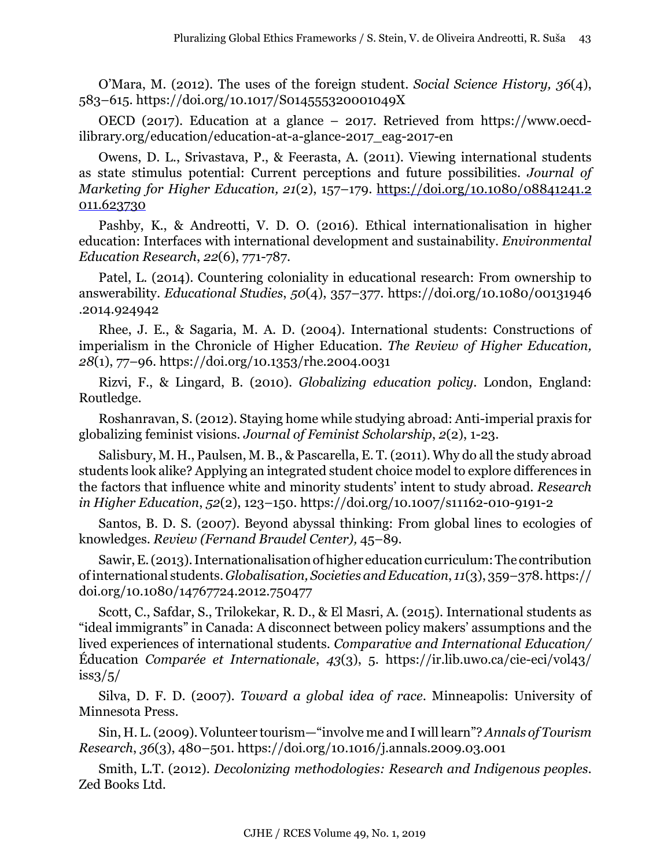O'Mara, M. (2012). The uses of the foreign student. *Social Science History, 36*(4), 583–615. https://doi.org/10.1017/S014555320001049X

OECD (2017). Education at a glance – 2017. Retrieved from https://www.oecdilibrary.org/education/education-at-a-glance-2017\_eag-2017-en

Owens, D. L., Srivastava, P., & Feerasta, A. (2011). Viewing international students as state stimulus potential: Current perceptions and future possibilities. *Journal of Marketing for Higher Education, 21*(2), 157–179. [https://doi.org/10.1080/08841241.2](https://doi.org/10.1080/08841241.2011.623730) [011.623730](https://doi.org/10.1080/08841241.2011.623730)

Pashby, K., & Andreotti, V. D. O. (2016). Ethical internationalisation in higher education: Interfaces with international development and sustainability. *Environmental Education Research*, *22*(6), 771-787.

Patel, L. (2014). Countering coloniality in educational research: From ownership to answerability. *Educational Studies*, *50*(4), 357–377. https://doi.org/10.1080/00131946 .2014.924942

Rhee, J. E., & Sagaria, M. A. D. (2004). International students: Constructions of imperialism in the Chronicle of Higher Education. *The Review of Higher Education, 28*(1), 77–96. https://doi.org/10.1353/rhe.2004.0031

Rizvi, F., & Lingard, B. (2010). *Globalizing education policy*. London, England: Routledge.

Roshanravan, S. (2012). Staying home while studying abroad: Anti-imperial praxis for globalizing feminist visions. *Journal of Feminist Scholarship*, *2*(2), 1-23.

Salisbury, M. H., Paulsen, M. B., & Pascarella, E. T. (2011). Why do all the study abroad students look alike? Applying an integrated student choice model to explore differences in the factors that influence white and minority students' intent to study abroad. *Research in Higher Education*, *52*(2), 123–150. https://doi.org/10.1007/s11162-010-9191-2

Santos, B. D. S. (2007). Beyond abyssal thinking: From global lines to ecologies of knowledges. *Review (Fernand Braudel Center),* 45–89.

Sawir, E. (2013). Internationalisation of higher education curriculum: The contribution of international students. *Globalisation, Societies and Education*, *11*(3), 359–378. https:// doi.org/10.1080/14767724.2012.750477

Scott, C., Safdar, S., Trilokekar, R. D., & El Masri, A. (2015). International students as "ideal immigrants" in Canada: A disconnect between policy makers' assumptions and the lived experiences of international students. *Comparative and International Education/* Éducation *Comparée et Internationale*, *43*(3), 5. https://ir.lib.uwo.ca/cie-eci/vol43/  $iss3/5/$ 

Silva, D. F. D. (2007). *Toward a global idea of race*. Minneapolis: University of Minnesota Press.

Sin, H. L. (2009). Volunteer tourism—"involve me and I will learn"? *Annals of Tourism Research*, *36*(3), 480–501. https://doi.org/10.1016/j.annals.2009.03.001

Smith, L.T. (2012). *Decolonizing methodologies: Research and Indigenous peoples*. Zed Books Ltd.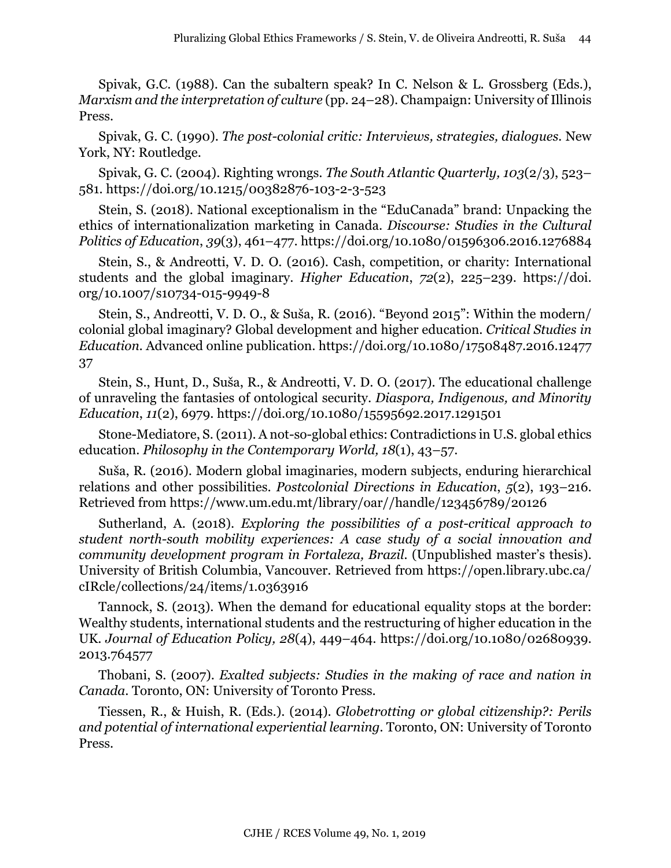Spivak, G.C. (1988). Can the subaltern speak? In C. Nelson & L. Grossberg (Eds.), *Marxism and the interpretation of culture* (pp. 24–28). Champaign: University of Illinois Press.

Spivak, G. C. (1990). *The post-colonial critic: Interviews, strategies, dialogues.* New York, NY: Routledge.

Spivak, G. C. (2004). Righting wrongs. *The South Atlantic Quarterly, 103*(2/3), 523– 581. https://doi.org/10.1215/00382876-103-2-3-523

Stein, S. (2018). National exceptionalism in the "EduCanada" brand: Unpacking the ethics of internationalization marketing in Canada. *Discourse: Studies in the Cultural Politics of Education*, *39*(3), 461–477. https://doi.org/10.1080/01596306.2016.1276884

Stein, S., & Andreotti, V. D. O. (2016). Cash, competition, or charity: International students and the global imaginary. *Higher Education*, *72*(2), 225–239. https://doi. org/10.1007/s10734-015-9949-8

Stein, S., Andreotti, V. D. O., & Suša, R. (2016). "Beyond 2015": Within the modern/ colonial global imaginary? Global development and higher education. *Critical Studies in Education.* Advanced online publication. https://doi.org/10.1080/17508487.2016.12477 37

Stein, S., Hunt, D., Suša, R., & Andreotti, V. D. O. (2017). The educational challenge of unraveling the fantasies of ontological security. *Diaspora, Indigenous, and Minority Education*, *11*(2), 6979. https://doi.org/10.1080/15595692.2017.1291501

Stone-Mediatore, S. (2011). A not-so-global ethics: Contradictions in U.S. global ethics education. *Philosophy in the Contemporary World, 18*(1), 43–57.

Suša, R. (2016). Modern global imaginaries, modern subjects, enduring hierarchical relations and other possibilities. *Postcolonial Directions in Education*, *5*(2), 193–216. Retrieved from https://www.um.edu.mt/library/oar//handle/123456789/20126

Sutherland, A. (2018). *Exploring the possibilities of a post-critical approach to student north-south mobility experiences: A case study of a social innovation and community development program in Fortaleza, Brazil.* (Unpublished master's thesis). University of British Columbia, Vancouver. Retrieved from https://open.library.ubc.ca/ cIRcle/collections/24/items/1.0363916

Tannock, S. (2013). When the demand for educational equality stops at the border: Wealthy students, international students and the restructuring of higher education in the UK. *Journal of Education Policy, 28*(4), 449–464. https://doi.org/10.1080/02680939. 2013.764577

Thobani, S. (2007). *Exalted subjects: Studies in the making of race and nation in Canada*. Toronto, ON: University of Toronto Press.

Tiessen, R., & Huish, R. (Eds.). (2014). *Globetrotting or global citizenship?: Perils and potential of international experiential learning.* Toronto, ON: University of Toronto Press.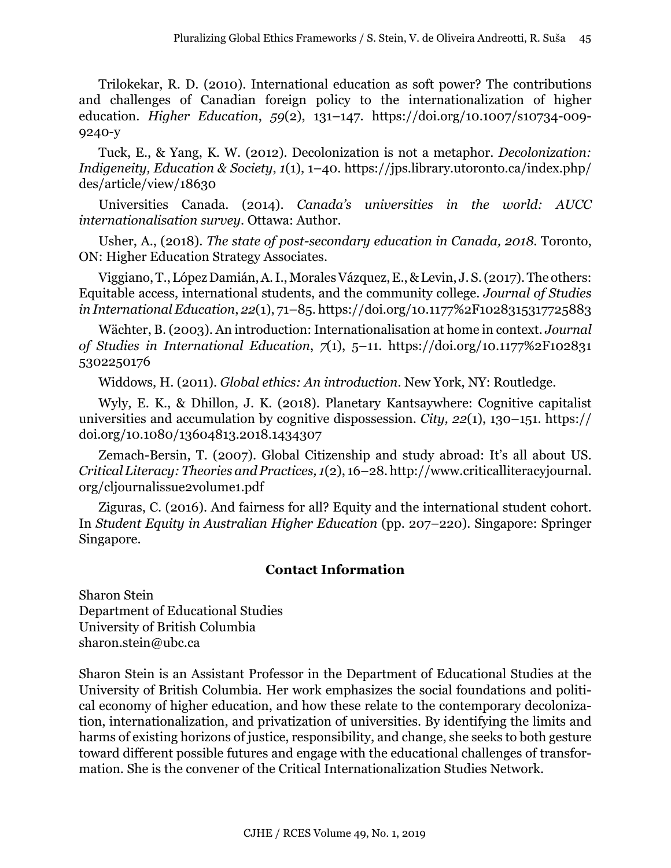Trilokekar, R. D. (2010). International education as soft power? The contributions and challenges of Canadian foreign policy to the internationalization of higher education. *Higher Education*, *59*(2), 131–147. https://doi.org/10.1007/s10734-009- 9240-y

Tuck, E., & Yang, K. W. (2012). Decolonization is not a metaphor. *Decolonization: Indigeneity, Education & Society*, *1*(1), 1–40. https://jps.library.utoronto.ca/index.php/ des/article/view/18630

Universities Canada. (2014). *Canada's universities in the world: AUCC internationalisation survey*. Ottawa: Author.

Usher, A., (2018). *The state of post-secondary education in Canada, 2018.* Toronto, ON: Higher Education Strategy Associates.

Viggiano, T., López Damián, A. I., Morales Vázquez, E., & Levin, J. S. (2017). The others: Equitable access, international students, and the community college. *Journal of Studies in International Education*, *22*(1), 71–85. https://doi.org/10.1177%2F1028315317725883

Wächter, B. (2003). An introduction: Internationalisation at home in context. *Journal of Studies in International Education*, *7*(1), 5–11. https://doi.org/10.1177%2F102831 5302250176

Widdows, H. (2011). *Global ethics: An introduction*. New York, NY: Routledge.

Wyly, E. K., & Dhillon, J. K. (2018). Planetary Kantsaywhere: Cognitive capitalist universities and accumulation by cognitive dispossession. *City, 22*(1), 130–151. https:// doi.org/10.1080/13604813.2018.1434307

Zemach-Bersin, T. (2007). Global Citizenship and study abroad: It's all about US. *Critical Literacy: Theories and Practices, 1*(2), 16–28. http://www.criticalliteracyjournal. org/cljournalissue2volume1.pdf

Ziguras, C. (2016). And fairness for all? Equity and the international student cohort. In *Student Equity in Australian Higher Education* (pp. 207–220). Singapore: Springer Singapore.

# **Contact Information**

Sharon Stein Department of Educational Studies University of British Columbia sharon.stein@ubc.ca

Sharon Stein is an Assistant Professor in the Department of Educational Studies at the University of British Columbia. Her work emphasizes the social foundations and political economy of higher education, and how these relate to the contemporary decolonization, internationalization, and privatization of universities. By identifying the limits and harms of existing horizons of justice, responsibility, and change, she seeks to both gesture toward different possible futures and engage with the educational challenges of transformation. She is the convener of the Critical Internationalization Studies Network.